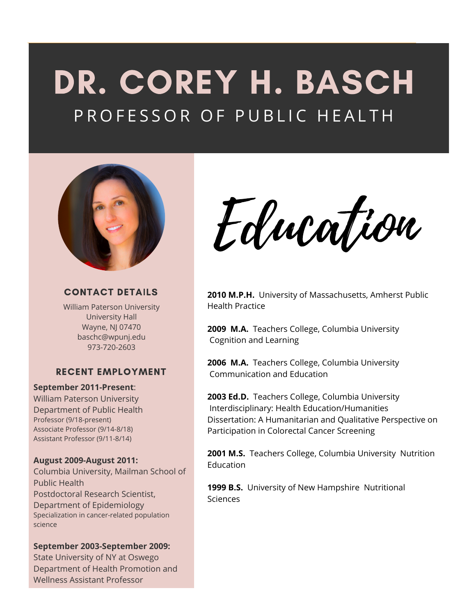# DR. COREY H. BASCH P R O F E S S O R O F P U B L I C H E A L T H



#### **CONTACT DETAILS**

William Paterson University University Hall Wayne, NJ 07470 baschc@wpunj.edu 973-720-2603

#### **RECENT EMPLOYMENT**

#### **September 2011-Present**:

William Paterson University Department of Public Health Professor (9/18-present) Associate Professor (9/14-8/18) Assistant Professor (9/11-8/14)

#### **August 2009-August 2011:**

Columbia University, Mailman School of Public Health Postdoctoral Research Scientist, Department of Epidemiology Specialization in cancer-related population science

#### **September 2003-September 2009:**

State University of NY at Oswego Department of Health Promotion and Wellness Assistant Professor

Edwation

**2010 M.P.H.** University of Massachusetts, Amherst Public Health Practice

**2009 M.A.** Teachers College, Columbia University Cognition and Learning

**2006 M.A.** Teachers College, Columbia University Communication and Education

**2003 Ed.D.** Teachers College, Columbia University Interdisciplinary: Health Education/Humanities Dissertation: A Humanitarian and Qualitative Perspective on Participation in Colorectal Cancer Screening

**2001 M.S.** Teachers College, Columbia University Nutrition Education

**1999 B.S.** University of New Hampshire Nutritional Sciences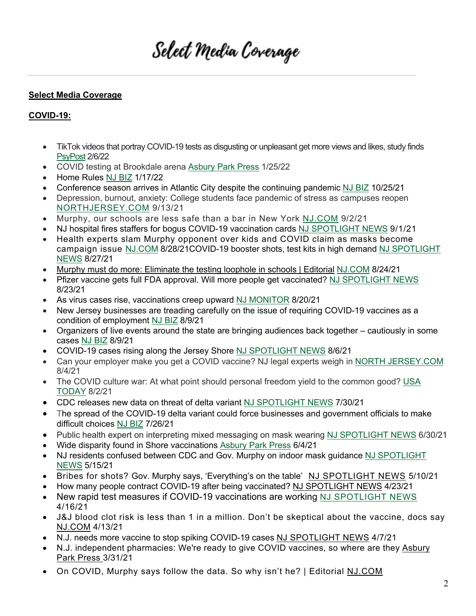# Select Media Coverage

#### **Select Media Coverage**

#### **COVID-19:**

- TikTok videos that portray COVID-19 tests as disgusting or unpleasant get more views and likes, study finds PsyPost 2/6/22
- COVID testing at Brookdale arena Asbury Park Press 1/25/22
- Home Rules NJ BIZ 1/17/22
- Conference season arrives in Atlantic City despite the continuing pandemic NJ BIZ 10/25/21
- Depression, burnout, anxiety: College students face pandemic of stress as campuses reopen NORTHJERSEY.COM 9/13/21
- Murphy, our schools are less safe than a bar in New York NJ.COM 9/2/21
- NJ hospital fires staffers for bogus COVID-19 vaccination cards NJ SPOTLIGHT NEWS 9/1/21
- Health experts slam Murphy opponent over kids and COVID claim as masks become campaign issue NJ.COM 8/28/21COVID-19 booster shots, test kits in high demand NJ SPOTLIGHT NEWS 8/27/21
- Murphy must do more: Eliminate the testing loophole in schools | Editorial NJ.COM 8/24/21
- Pfizer vaccine gets full FDA approval. Will more people get vaccinated? NJ SPOTLIGHT NEWS 8/23/21
- As virus cases rise, vaccinations creep upward NJ MONITOR 8/20/21
- New Jersey businesses are treading carefully on the issue of requiring COVID-19 vaccines as a condition of employment NJ BIZ 8/9/21
- Organizers of live events around the state are bringing audiences back together cautiously in some cases NJ BIZ 8/9/21
- COVID-19 cases rising along the Jersey Shore NJ SPOTLIGHT NEWS 8/6/21
- Can your employer make you get a COVID vaccine? NJ legal experts weigh in NORTH JERSEY.COM 8/4/21
- The COVID culture war: At what point should personal freedom yield to the common good? USA TODAY 8/2/21
- CDC releases new data on threat of delta variant NJ SPOTLIGHT NEWS 7/30/21
- The spread of the COVID-19 delta variant could force businesses and government officials to make difficult choices NJ BIZ 7/26/21
- Public health expert on interpreting mixed messaging on mask wearing NJ SPOTLIGHT NEWS 6/30/21
- Wide disparity found in Shore vaccinations Asbury Park Press 6/4/21
- NJ residents confused between CDC and Gov. Murphy on indoor mask guidance NJ SPOTLIGHT NEWS 5/15/21
- Bribes for shots? Gov. Murphy says, 'Everything's on the table' NJ SPOTLIGHT NEWS 5/10/21
- How many people contract COVID-19 after being vaccinated? NJ SPOTLIGHT NEWS 4/23/21
- New rapid test measures if COVID-19 vaccinations are working NJ SPOTLIGHT NEWS 4/16/21
- J&J blood clot risk is less than 1 in a million. Don't be skeptical about the vaccine, docs say NJ.COM 4/13/21
- N.J. needs more vaccine to stop spiking COVID-19 cases NJ SPOTLIGHT NEWS 4/7/21
- N.J. independent pharmacies: We're ready to give COVID vaccines, so where are they Asbury Park Press 3/31/21
- On COVID, Murphy says follow the data. So why isn't he? | Editorial NJ.COM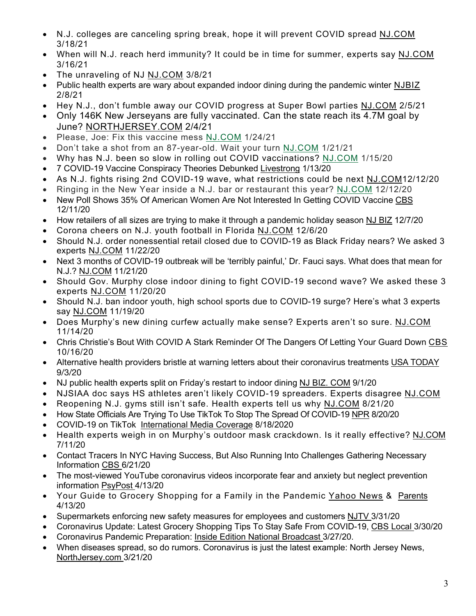- N.J. colleges are canceling spring break, hope it will prevent COVID spread NJ.COM 3/18/21
- When will N.J. reach herd immunity? It could be in time for summer, experts say NJ.COM 3/16/21
- The unraveling of NJ NJ.COM 3/8/21
- Public health experts are wary about expanded indoor dining during the pandemic winter NJBIZ 2/8/21
- Hey N.J., don't fumble away our COVID progress at Super Bowl parties NJ.COM 2/5/21
- Only 146K New Jerseyans are fully vaccinated. Can the state reach its 4.7M goal by June? NORTHJERSEY.COM 2/4/21
- Please, Joe: Fix this vaccine mess NJ.COM 1/24/21
- Don't take a shot from an 87-year-old. Wait your turn NJ.COM 1/21/21
- Why has N.J. been so slow in rolling out COVID vaccinations? NJ.COM 1/15/20
- 7 COVID-19 Vaccine Conspiracy Theories Debunked Livestrong 1/13/20
- As N.J. fights rising 2nd COVID-19 wave, what restrictions could be next NJ.COM12/12/20
- Ringing in the New Year inside a N.J. bar or restaurant this year? NJ.COM 12/12/20
- New Poll Shows 35% Of American Women Are Not Interested In Getting COVID Vaccine CBS 12/11/20
- How retailers of all sizes are trying to make it through a pandemic holiday season NJ BIZ 12/7/20
- Corona cheers on N.J. youth football in Florida NJ.COM 12/6/20
- Should N.J. order nonessential retail closed due to COVID-19 as Black Friday nears? We asked 3 experts NJ.COM 11/22/20
- Next 3 months of COVID-19 outbreak will be 'terribly painful,' Dr. Fauci says. What does that mean for N.J.? NJ.COM 11/21/20
- Should Gov. Murphy close indoor dining to fight COVID-19 second wave? We asked these 3 experts NJ.COM 11/20/20
- Should N.J. ban indoor youth, high school sports due to COVID-19 surge? Here's what 3 experts say NJ.COM 11/19/20
- Does Murphy's new dining curfew actually make sense? Experts aren't so sure. NJ.COM 11/14/20
- Chris Christie's Bout With COVID A Stark Reminder Of The Dangers Of Letting Your Guard Down CBS 10/16/20
- Alternative health providers bristle at warning letters about their coronavirus treatments USA TODAY 9/3/20
- NJ public health experts split on Friday's restart to indoor dining NJ BIZ. COM 9/1/20
- NJSIAA doc says HS athletes aren't likely COVID-19 spreaders. Experts disagree NJ.COM
- Reopening N.J. gyms still isn't safe. Health experts tell us why NJ.COM 8/21/20
- How State Officials Are Trying To Use TikTok To Stop The Spread Of COVID-19 NPR 8/20/20
- COVID-19 on TikTok International Media Coverage 8/18/2020
- Health experts weigh in on Murphy's outdoor mask crackdown. Is it really effective? NJ.COM 7/11/20
- Contact Tracers In NYC Having Success, But Also Running Into Challenges Gathering Necessary Information CBS 6/21/20
- The most-viewed YouTube coronavirus videos incorporate fear and anxiety but neglect prevention information PsyPost 4/13/20
- Your Guide to Grocery Shopping for a Family in the Pandemic Yahoo News & Parents 4/13/20
- Supermarkets enforcing new safety measures for employees and customers NJTV 3/31/20
- Coronavirus Update: Latest Grocery Shopping Tips To Stay Safe From COVID-19, CBS Local 3/30/20
- Coronavirus Pandemic Preparation: Inside Edition National Broadcast 3/27/20.
- When diseases spread, so do rumors. Coronavirus is just the latest example: North Jersey News, NorthJersey.com 3/21/20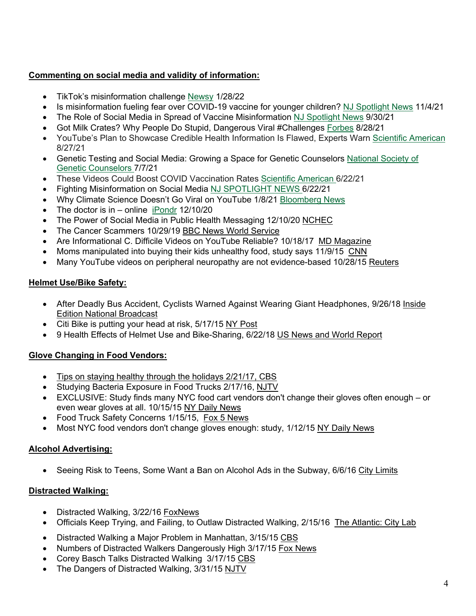#### **Commenting on social media and validity of information:**

- TikTok's misinformation challenge Newsy 1/28/22
- Is misinformation fueling fear over COVID-19 vaccine for younger children? NJ Spotlight News 11/4/21
- The Role of Social Media in Spread of Vaccine Misinformation NJ Spotlight News 9/30/21
- Got Milk Crates? Why People Do Stupid, Dangerous Viral #Challenges Forbes 8/28/21
- YouTube's Plan to Showcase Credible Health Information Is Flawed, Experts Warn Scientific American 8/27/21
- Genetic Testing and Social Media: Growing a Space for Genetic Counselors National Society of Genetic Counselors 7/7/21
- These Videos Could Boost COVID Vaccination Rates Scientific American 6/22/21
- Fighting Misinformation on Social Media NJ SPOTLIGHT NEWS 6/22/21
- Why Climate Science Doesn't Go Viral on YouTube 1/8/21 Bloomberg News
- The doctor is in online iPondr  $12/10/20$
- The Power of Social Media in Public Health Messaging 12/10/20 NCHEC
- The Cancer Scammers 10/29/19 BBC News World Service
- Are Informational C. Difficile Videos on YouTube Reliable? 10/18/17 MD Magazine
- Moms manipulated into buying their kids unhealthy food, study says 11/9/15 CNN
- Many YouTube videos on peripheral neuropathy are not evidence-based 10/28/15 Reuters

#### **Helmet Use/Bike Safety:**

- After Deadly Bus Accident, Cyclists Warned Against Wearing Giant Headphones, 9/26/18 Inside Edition National Broadcast
- Citi Bike is putting your head at risk, 5/17/15 NY Post
- 9 Health Effects of Helmet Use and Bike-Sharing, 6/22/18 US News and World Report

#### **Glove Changing in Food Vendors:**

- Tips on staying healthy through the holidays 2/21/17, CBS
- Studying Bacteria Exposure in Food Trucks 2/17/16, NJTV
- EXCLUSIVE: Study finds many NYC food cart vendors don't change their gloves often enough or even wear gloves at all. 10/15/15 NY Daily News
- Food Truck Safety Concerns 1/15/15, Fox 5 News
- Most NYC food vendors don't change gloves enough: study, 1/12/15 NY Daily News

#### **Alcohol Advertising:**

• Seeing Risk to Teens, Some Want a Ban on Alcohol Ads in the Subway, 6/6/16 City Limits

#### **Distracted Walking:**

- Distracted Walking, 3/22/16 FoxNews
- Officials Keep Trying, and Failing, to Outlaw Distracted Walking, 2/15/16 The Atlantic: City Lab
- Distracted Walking a Major Problem in Manhattan, 3/15/15 CBS
- Numbers of Distracted Walkers Dangerously High 3/17/15 Fox News
- Corey Basch Talks Distracted Walking 3/17/15 CBS
- The Dangers of Distracted Walking, 3/31/15 NJTV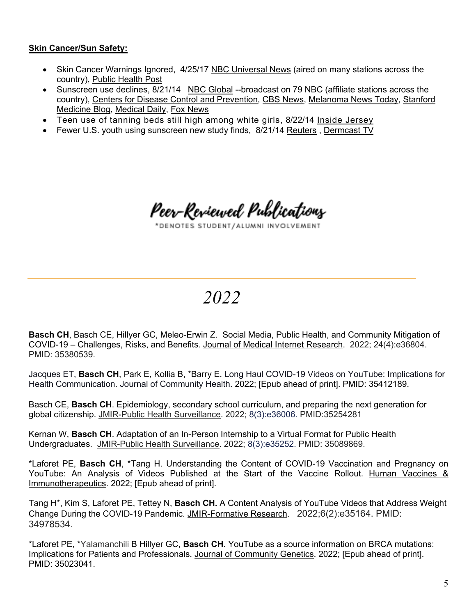#### **Skin Cancer/Sun Safety:**

- Skin Cancer Warnings Ignored, 4/25/17 NBC Universal News (aired on many stations across the country), Public Health Post
- Sunscreen use declines, 8/21/14 NBC Global --broadcast on 79 NBC (affiliate stations across the country), Centers for Disease Control and Prevention, CBS News, Melanoma News Today, Stanford Medicine Blog, Medical Daily, Fox News
- Teen use of tanning beds still high among white girls, 8/22/14 Inside Jersey
- Fewer U.S. youth using sunscreen new study finds, 8/21/14 Reuters , Dermcast TV

Peer-Reviewed Publications

\*DENOTES STUDENT/ALUMNI INVOLVEMENT

*2022*

**Basch CH**, Basch CE, Hillyer GC, Meleo-Erwin Z. Social Media, Public Health, and Community Mitigation of COVID-19 – Challenges, Risks, and Benefits. Journal of Medical Internet Research. 2022; 24(4):e36804. PMID: 35380539.

Jacques ET, **Basch CH**, Park E, Kollia B, \*Barry E. Long Haul COVID-19 Videos on YouTube: Implications for Health Communication. Journal of Community Health. 2022; [Epub ahead of print]. PMID: 35412189.

Basch CE, **Basch CH**. Epidemiology, secondary school curriculum, and preparing the next generation for global citizenship. JMIR-Public Health Surveillance. 2022; 8(3):e36006. PMID:35254281

Kernan W, **Basch CH**. Adaptation of an In-Person Internship to a Virtual Format for Public Health Undergraduates. JMIR-Public Health Surveillance. 2022; 8(3):e35252. PMID: 35089869.

\*Laforet PE, **Basch CH**, \*Tang H. Understanding the Content of COVID-19 Vaccination and Pregnancy on YouTube: An Analysis of Videos Published at the Start of the Vaccine Rollout. Human Vaccines & Immunotherapeutics. 2022; [Epub ahead of print].

Tang H\*, Kim S, Laforet PE, Tettey N, **Basch CH.** A Content Analysis of YouTube Videos that Address Weight Change During the COVID-19 Pandemic. JMIR-Formative Research. 2022;6(2):e35164. PMID: 34978534.

\*Laforet PE, \*Yalamanchili B Hillyer GC, **Basch CH.** YouTube as a source information on BRCA mutations: Implications for Patients and Professionals. Journal of Community Genetics. 2022; [Epub ahead of print]. PMID: 35023041.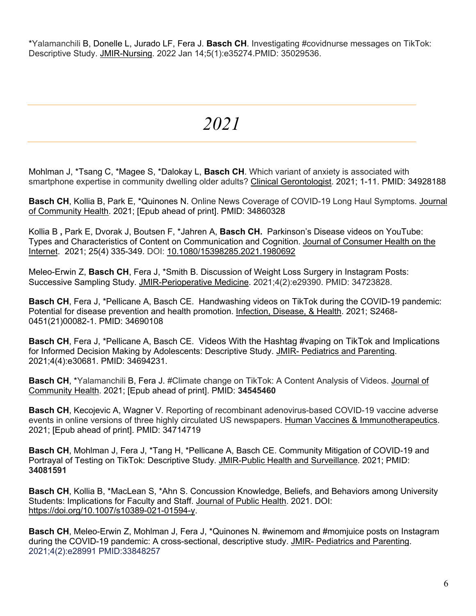\*Yalamanchili B, Donelle L, Jurado LF, Fera J. **Basch CH**. Investigating #covidnurse messages on TikTok: Descriptive Study. JMIR-Nursing. 2022 Jan 14;5(1):e35274.PMID: 35029536.

*2021*

Mohlman J, \*Tsang C, \*Magee S, \*Dalokay L, **Basch CH**. Which variant of anxiety is associated with smartphone expertise in community dwelling older adults? Clinical Gerontologist. 2021; 1-11. PMID: 34928188

**Basch CH**, Kollia B, Park E, \*Quinones N. Online News Coverage of COVID-19 Long Haul Symptoms. Journal of Community Health. 2021; [Epub ahead of print]. PMID: 34860328

Kollia B **,** Park E, Dvorak J, Boutsen F, \*Jahren A, **Basch CH.** Parkinson's Disease videos on YouTube: Types and Characteristics of Content on Communication and Cognition. Journal of Consumer Health on the Internet. 2021; 25(4) 335-349. DOI: 10.1080/15398285.2021.1980692

Meleo-Erwin Z, **Basch CH**, Fera J, \*Smith B. Discussion of Weight Loss Surgery in Instagram Posts: Successive Sampling Study. JMIR-Perioperative Medicine. 2021;4(2):e29390. PMID: 34723828.

**Basch CH**, Fera J, \*Pellicane A, Basch CE. Handwashing videos on TikTok during the COVID-19 pandemic: Potential for disease prevention and health promotion. Infection, Disease, & Health. 2021; S2468- 0451(21)00082-1. PMID: 34690108

**Basch CH**, Fera J, \*Pellicane A, Basch CE. Videos With the Hashtag #vaping on TikTok and Implications for Informed Decision Making by Adolescents: Descriptive Study. JMIR- Pediatrics and Parenting. 2021;4(4):e30681. PMID: 34694231.

Basch CH, \*Yalamanchili B, Fera J. #Climate change on TikTok: A Content Analysis of Videos. Journal of Community Health. 2021; [Epub ahead of print]. PMID: **34545460**

**Basch CH**, Kecojevic A, Wagner V. Reporting of recombinant adenovirus-based COVID-19 vaccine adverse events in online versions of three highly circulated US newspapers. Human Vaccines & Immunotherapeutics. 2021; [Epub ahead of print]. PMID: 34714719

**Basch CH**, Mohlman J, Fera J, \*Tang H, \*Pellicane A, Basch CE. Community Mitigation of COVID-19 and Portrayal of Testing on TikTok: Descriptive Study. JMIR-Public Health and Surveillance. 2021; PMID: **34081591**

**Basch CH**, Kollia B, \*MacLean S, \*Ahn S. Concussion Knowledge, Beliefs, and Behaviors among University Students: Implications for Faculty and Staff. Journal of Public Health. 2021. DOI: https://doi.org/10.1007/s10389-021-01594-y.

**Basch CH**, Meleo-Erwin Z, Mohlman J, Fera J, \*Quinones N. #winemom and #momjuice posts on Instagram during the COVID-19 pandemic: A cross-sectional, descriptive study. JMIR- Pediatrics and Parenting. 2021;4(2):e28991 PMID:33848257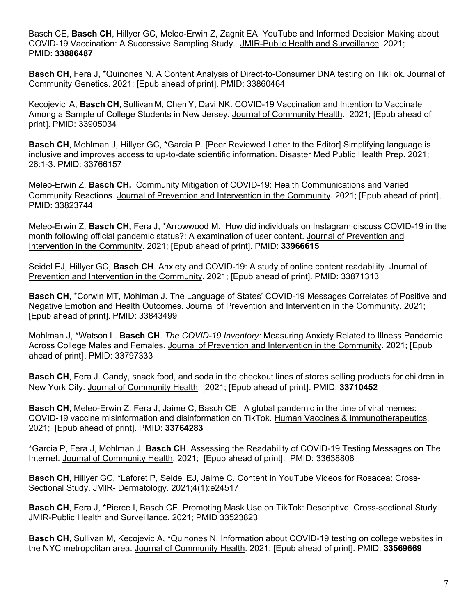Basch CE, **Basch CH**, Hillyer GC, Meleo-Erwin Z, Zagnit EA. YouTube and Informed Decision Making about COVID-19 Vaccination: A Successive Sampling Study. JMIR-Public Health and Surveillance. 2021; PMID: **33886487**

**Basch CH**, Fera J, \*Quinones N. A Content Analysis of Direct-to-Consumer DNA testing on TikTok. Journal of Community Genetics. 2021; [Epub ahead of print]. PMID: 33860464

Kecojevic A, **Basch CH**, Sullivan M, Chen Y, Davi NK. COVID-19 Vaccination and Intention to Vaccinate Among a Sample of College Students in New Jersey. Journal of Community Health. 2021; [Epub ahead of print]. PMID: 33905034

**Basch CH**, Mohlman J, Hillyer GC, \*Garcia P. [Peer Reviewed Letter to the Editor] Simplifying language is inclusive and improves access to up-to-date scientific information. Disaster Med Public Health Prep. 2021; 26:1-3. PMID: 33766157

Meleo-Erwin Z, **Basch CH.** Community Mitigation of COVID-19: Health Communications and Varied Community Reactions. Journal of Prevention and Intervention in the Community. 2021; [Epub ahead of print]. PMID: 33823744

Meleo-Erwin Z, **Basch CH,** Fera J, \*Arrowwood M. How did individuals on Instagram discuss COVID-19 in the month following official pandemic status?: A examination of user content. Journal of Prevention and Intervention in the Community. 2021; [Epub ahead of print]. PMID: **33966615**

Seidel EJ, Hillyer GC, **Basch CH**. Anxiety and COVID-19: A study of online content readability. Journal of Prevention and Intervention in the Community. 2021; [Epub ahead of print]. PMID: 33871313

**Basch CH**, \*Corwin MT, Mohlman J. The Language of States' COVID-19 Messages Correlates of Positive and Negative Emotion and Health Outcomes. Journal of Prevention and Intervention in the Community. 2021; [Epub ahead of print]. PMID: 33843499

Mohlman J, \*Watson L. **Basch CH**. *The COVID-19 Inventory:* Measuring Anxiety Related to Illness Pandemic Across College Males and Females. Journal of Prevention and Intervention in the Community. 2021; [Epub ahead of print]. PMID: 33797333

**Basch CH**, Fera J. Candy, snack food, and soda in the checkout lines of stores selling products for children in New York City. Journal of Community Health. 2021; [Epub ahead of print]. PMID: **33710452**

**Basch CH**, Meleo-Erwin Z, Fera J, Jaime C, Basch CE. A global pandemic in the time of viral memes: COVID-19 vaccine misinformation and disinformation on TikTok. Human Vaccines & Immunotherapeutics. 2021; [Epub ahead of print]. PMID: **33764283**

\*Garcia P, Fera J, Mohlman J, **Basch CH**. Assessing the Readability of COVID-19 Testing Messages on The Internet. Journal of Community Health. 2021; [Epub ahead of print]. PMID: 33638806

**Basch CH**, Hillyer GC, \*Laforet P, Seidel EJ, Jaime C. Content in YouTube Videos for Rosacea: Cross-Sectional Study. JMIR- Dermatology. 2021;4(1):e24517

**Basch CH**, Fera J, \*Pierce I, Basch CE. Promoting Mask Use on TikTok: Descriptive, Cross-sectional Study. JMIR-Public Health and Surveillance. 2021; PMID 33523823

**Basch CH**, Sullivan M, Kecojevic A, \*Quinones N. Information about COVID-19 testing on college websites in the NYC metropolitan area. Journal of Community Health. 2021; [Epub ahead of print]. PMID: **33569669**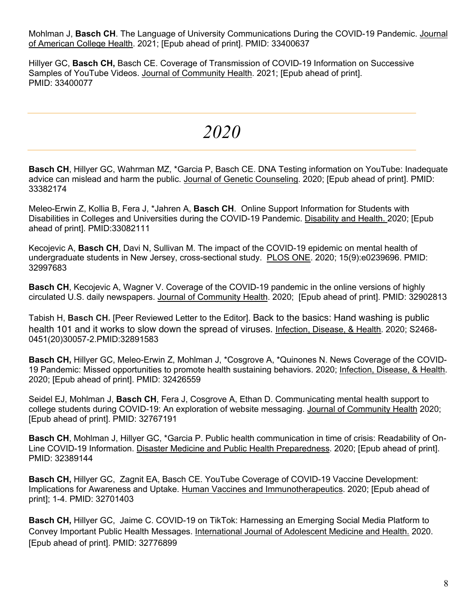Mohlman J, **Basch CH**. The Language of University Communications During the COVID-19 Pandemic. Journal of American College Health. 2021; [Epub ahead of print]. PMID: 33400637

Hillyer GC, **Basch CH,** Basch CE. Coverage of Transmission of COVID-19 Information on Successive Samples of YouTube Videos. Journal of Community Health. 2021; [Epub ahead of print]. PMID: 33400077

*2020*

**Basch CH**, Hillyer GC, Wahrman MZ, \*Garcia P, Basch CE. DNA Testing information on YouTube: Inadequate advice can mislead and harm the public. Journal of Genetic Counseling. 2020; [Epub ahead of print]. PMID: 33382174

Meleo-Erwin Z, Kollia B, Fera J, \*Jahren A, **Basch CH**. Online Support Information for Students with Disabilities in Colleges and Universities during the COVID-19 Pandemic. Disability and Health. 2020; [Epub ahead of print]. PMID:33082111

Kecojevic A, **Basch CH**, Davi N, Sullivan M. The impact of the COVID-19 epidemic on mental health of undergraduate students in New Jersey, cross-sectional study. PLOS ONE. 2020; 15(9):e0239696. PMID: 32997683

**Basch CH**, Kecojevic A, Wagner V. Coverage of the COVID-19 pandemic in the online versions of highly circulated U.S. daily newspapers. Journal of Community Health. 2020; [Epub ahead of print]. PMID: 32902813

Tabish H, **Basch CH.** [Peer Reviewed Letter to the Editor]. Back to the basics: Hand washing is public health 101 and it works to slow down the spread of viruses. Infection, Disease, & Health. 2020; S2468- 0451(20)30057-2.PMID:32891583

**Basch CH,** Hillyer GC, Meleo-Erwin Z, Mohlman J, \*Cosgrove A, \*Quinones N. News Coverage of the COVID-19 Pandemic: Missed opportunities to promote health sustaining behaviors. 2020; Infection, Disease, & Health. 2020; [Epub ahead of print]. PMID: 32426559

Seidel EJ, Mohlman J, **Basch CH**, Fera J, Cosgrove A, Ethan D. Communicating mental health support to college students during COVID-19: An exploration of website messaging. Journal of Community Health 2020; [Epub ahead of print]. PMID: 32767191

**Basch CH**, Mohlman J, Hillyer GC, \*Garcia P. Public health communication in time of crisis: Readability of On-Line COVID-19 Information. Disaster Medicine and Public Health Preparedness. 2020; [Epub ahead of print]. PMID: 32389144

**Basch CH,** Hillyer GC, Zagnit EA, Basch CE. YouTube Coverage of COVID-19 Vaccine Development: Implications for Awareness and Uptake. Human Vaccines and Immunotherapeutics. 2020; [Epub ahead of print]; 1-4. PMID: 32701403

**Basch CH,** Hillyer GC, Jaime C. COVID-19 on TikTok: Harnessing an Emerging Social Media Platform to Convey Important Public Health Messages. International Journal of Adolescent Medicine and Health. 2020. [Epub ahead of print]. PMID: 32776899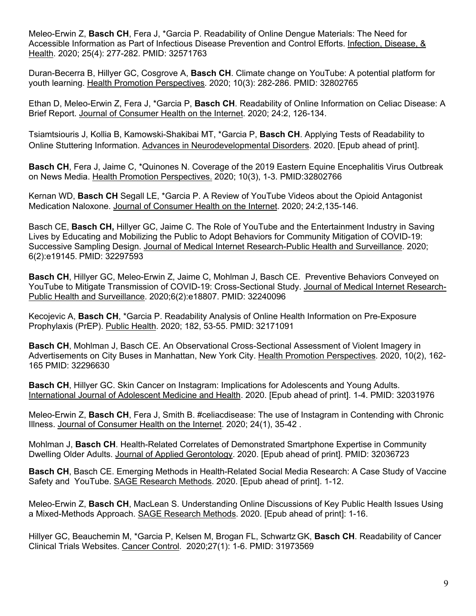Meleo-Erwin Z, **Basch CH**, Fera J, \*Garcia P. Readability of Online Dengue Materials: The Need for Accessible Information as Part of Infectious Disease Prevention and Control Efforts. Infection, Disease, & Health. 2020; 25(4): 277-282. PMID: 32571763

Duran-Becerra B, Hillyer GC, Cosgrove A, **Basch CH**. Climate change on YouTube: A potential platform for youth learning. Health Promotion Perspectives. 2020; 10(3): 282-286. PMID: 32802765

Ethan D, Meleo-Erwin Z, Fera J, \*Garcia P, **Basch CH**. Readability of Online Information on Celiac Disease: A Brief Report. Journal of Consumer Health on the Internet. 2020; 24:2, 126-134.

Tsiamtsiouris J, Kollia B, Kamowski-Shakibai MT, \*Garcia P, **Basch CH**. Applying Tests of Readability to Online Stuttering Information. Advances in Neurodevelopmental Disorders. 2020. [Epub ahead of print].

**Basch CH**, Fera J, Jaime C, \*Quinones N. Coverage of the 2019 Eastern Equine Encephalitis Virus Outbreak on News Media. Health Promotion Perspectives. 2020; 10(3), 1-3. PMID:32802766

Kernan WD, **Basch CH** Segall LE, \*Garcia P. A Review of YouTube Videos about the Opioid Antagonist Medication Naloxone. Journal of Consumer Health on the Internet. 2020; 24:2,135-146.

Basch CE, **Basch CH,** Hillyer GC, Jaime C. The Role of YouTube and the Entertainment Industry in Saving Lives by Educating and Mobilizing the Public to Adopt Behaviors for Community Mitigation of COVID-19: Successive Sampling Design. Journal of Medical Internet Research-Public Health and Surveillance. 2020; 6(2):e19145. PMID: 32297593

**Basch CH**, Hillyer GC, Meleo-Erwin Z, Jaime C, Mohlman J, Basch CE. Preventive Behaviors Conveyed on YouTube to Mitigate Transmission of COVID-19: Cross-Sectional Study. Journal of Medical Internet Research-Public Health and Surveillance. 2020;6(2):e18807. PMID: 32240096

Kecojevic A, **Basch CH**, \*Garcia P. Readability Analysis of Online Health Information on Pre-Exposure Prophylaxis (PrEP). Public Health. 2020; 182, 53-55. PMID: 32171091

**Basch CH**, Mohlman J, Basch CE. An Observational Cross-Sectional Assessment of Violent Imagery in Advertisements on City Buses in Manhattan, New York City. Health Promotion Perspectives. 2020, 10(2), 162- 165 PMID: 32296630

**Basch CH**, Hillyer GC. Skin Cancer on Instagram: Implications for Adolescents and Young Adults. International Journal of Adolescent Medicine and Health. 2020. [Epub ahead of print]. 1-4. PMID: 32031976

Meleo-Erwin Z, **Basch CH**, Fera J, Smith B. #celiacdisease: The use of Instagram in Contending with Chronic Illness. Journal of Consumer Health on the Internet. 2020; 24(1), 35-42 .

Mohlman J, **Basch CH**. Health-Related Correlates of Demonstrated Smartphone Expertise in Community Dwelling Older Adults. Journal of Applied Gerontology. 2020. [Epub ahead of print]. PMID: 32036723

**Basch CH**, Basch CE. Emerging Methods in Health-Related Social Media Research: A Case Study of Vaccine Safety and YouTube. SAGE Research Methods. 2020. [Epub ahead of print]. 1-12.

Meleo-Erwin Z, **Basch CH**, MacLean S. Understanding Online Discussions of Key Public Health Issues Using a Mixed-Methods Approach. SAGE Research Methods. 2020. [Epub ahead of print]: 1-16.

Hillyer GC, Beauchemin M, \*Garcia P, Kelsen M, Brogan FL, Schwartz GK, **Basch CH**. Readability of Cancer Clinical Trials Websites. Cancer Control. 2020;27(1): 1-6. PMID: 31973569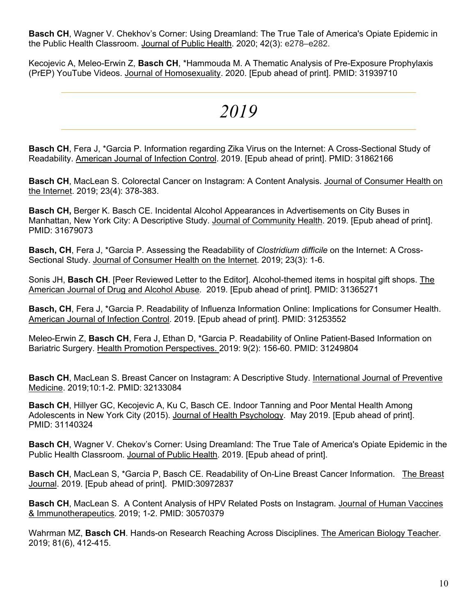**Basch CH**, Wagner V. Chekhov's Corner: Using Dreamland: The True Tale of America's Opiate Epidemic in the Public Health Classroom. Journal of Public Health. 2020; 42(3): e278–e282.

Kecojevic A, Meleo-Erwin Z, **Basch CH**, \*Hammouda M. A Thematic Analysis of Pre-Exposure Prophylaxis (PrEP) YouTube Videos. Journal of Homosexuality. 2020. [Epub ahead of print]. PMID: 31939710

### *2019*

**Basch CH**, Fera J, \*Garcia P. Information regarding Zika Virus on the Internet: A Cross-Sectional Study of Readability. American Journal of Infection Control. 2019. [Epub ahead of print]. PMID: 31862166

**Basch CH**, MacLean S. Colorectal Cancer on Instagram: A Content Analysis. Journal of Consumer Health on the Internet. 2019; 23(4): 378-383.

**Basch CH,** Berger K. Basch CE. Incidental Alcohol Appearances in Advertisements on City Buses in Manhattan, New York City: A Descriptive Study. Journal of Community Health. 2019. [Epub ahead of print]. PMID: 31679073

**Basch, CH**, Fera J, \*Garcia P. Assessing the Readability of *Clostridium difficile* on the Internet: A Cross-Sectional Study. Journal of Consumer Health on the Internet. 2019; 23(3): 1-6.

Sonis JH, **Basch CH**. [Peer Reviewed Letter to the Editor]. Alcohol-themed items in hospital gift shops. The American Journal of Drug and Alcohol Abuse. 2019. [Epub ahead of print]. PMID: 31365271

**Basch, CH**, Fera J, \*Garcia P. Readability of Influenza Information Online: Implications for Consumer Health. American Journal of Infection Control. 2019. [Epub ahead of print]. PMID: 31253552

Meleo-Erwin Z, **Basch CH**, Fera J, Ethan D, \*Garcia P. Readability of Online Patient-Based Information on Bariatric Surgery. Health Promotion Perspectives. 2019: 9(2): 156-60. PMID: 31249804

**Basch CH**, MacLean S. Breast Cancer on Instagram: A Descriptive Study. International Journal of Preventive Medicine. 2019;10:1-2. PMID: 32133084

**Basch CH**, Hillyer GC, Kecojevic A, Ku C, Basch CE. Indoor Tanning and Poor Mental Health Among Adolescents in New York City (2015). Journal of Health Psychology. May 2019. [Epub ahead of print]. PMID: 31140324

**Basch CH**, Wagner V. Chekov's Corner: Using Dreamland: The True Tale of America's Opiate Epidemic in the Public Health Classroom. Journal of Public Health. 2019. [Epub ahead of print].

**Basch CH**, MacLean S, \*Garcia P, Basch CE. Readability of On-Line Breast Cancer Information. The Breast Journal. 2019. [Epub ahead of print]. PMID:30972837

**Basch CH**, MacLean S. A Content Analysis of HPV Related Posts on Instagram. Journal of Human Vaccines & Immunotherapeutics. 2019; 1-2. PMID: 30570379

Wahrman MZ, **Basch CH**. Hands-on Research Reaching Across Disciplines. The American Biology Teacher. 2019; 81(6), 412-415.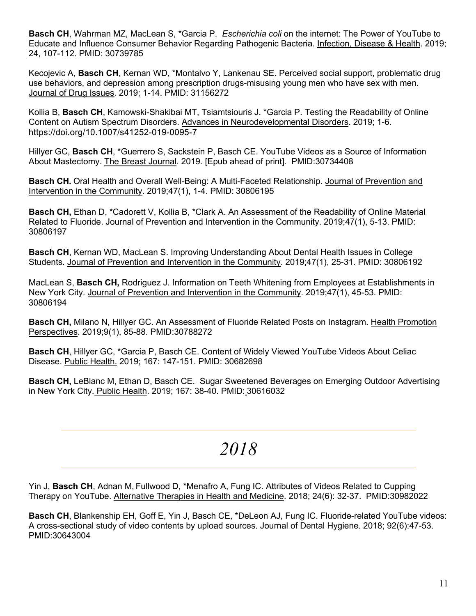**Basch CH**, Wahrman MZ, MacLean S, \*Garcia P. *Escherichia coli* on the internet: The Power of YouTube to Educate and Influence Consumer Behavior Regarding Pathogenic Bacteria. Infection, Disease & Health. 2019; 24, 107-112. PMID: 30739785

Kecojevic A, **Basch CH**, Kernan WD, \*Montalvo Y, Lankenau SE. Perceived social support, problematic drug use behaviors, and depression among prescription drugs-misusing young men who have sex with men. Journal of Drug Issues. 2019; 1-14. PMID: 31156272

Kollia B, **Basch CH**, Kamowski-Shakibai MT, Tsiamtsiouris J. \*Garcia P. Testing the Readability of Online Content on Autism Spectrum Disorders. Advances in Neurodevelopmental Disorders. 2019; 1-6. https://doi.org/10.1007/s41252-019-0095-7

Hillyer GC, **Basch CH**, \*Guerrero S, Sackstein P, Basch CE. YouTube Videos as a Source of Information About Mastectomy. The Breast Journal. 2019. [Epub ahead of print]. PMID:30734408

**Basch CH.** Oral Health and Overall Well-Being: A Multi-Faceted Relationship. Journal of Prevention and Intervention in the Community. 2019;47(1), 1-4. PMID: 30806195

**Basch CH,** Ethan D, \*Cadorett V, Kollia B, \*Clark A. An Assessment of the Readability of Online Material Related to Fluoride. Journal of Prevention and Intervention in the Community. 2019;47(1), 5-13. PMID: 30806197

**Basch CH**, Kernan WD, MacLean S. Improving Understanding About Dental Health Issues in College Students. Journal of Prevention and Intervention in the Community. 2019;47(1), 25-31. PMID: 30806192

MacLean S, **Basch CH,** Rodriguez J. Information on Teeth Whitening from Employees at Establishments in New York City. Journal of Prevention and Intervention in the Community. 2019;47(1), 45-53. PMID: 30806194

**Basch CH,** Milano N, Hillyer GC. An Assessment of Fluoride Related Posts on Instagram. Health Promotion Perspectives. 2019;9(1), 85-88. PMID:30788272

**Basch CH**, Hillyer GC, \*Garcia P, Basch CE. Content of Widely Viewed YouTube Videos About Celiac Disease. Public Health. 2019; 167: 147-151. PMID: 30682698

**Basch CH,** LeBlanc M, Ethan D, Basch CE. Sugar Sweetened Beverages on Emerging Outdoor Advertising in New York City. Public Health. 2019; 167: 38-40. PMID: 30616032

### *2018*

Yin J, **Basch CH**, Adnan M, Fullwood D, \*Menafro A, Fung IC. Attributes of Videos Related to Cupping Therapy on YouTube. Alternative Therapies in Health and Medicine. 2018; 24(6): 32-37. PMID:30982022

**Basch CH**, Blankenship EH, Goff E, Yin J, Basch CE, \*DeLeon AJ, Fung IC. Fluoride-related YouTube videos: A cross-sectional study of video contents by upload sources. Journal of Dental Hygiene. 2018; 92(6):47-53. PMID:30643004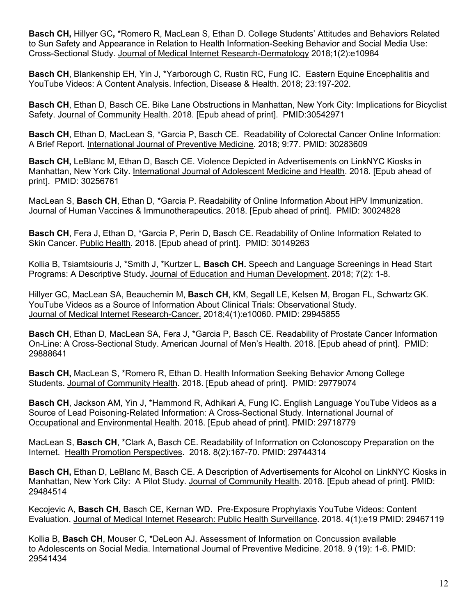**Basch CH,** Hillyer GC**,** \*Romero R, MacLean S, Ethan D. College Students' Attitudes and Behaviors Related to Sun Safety and Appearance in Relation to Health Information-Seeking Behavior and Social Media Use: Cross-Sectional Study. Journal of Medical Internet Research-Dermatology 2018;1(2):e10984

**Basch CH**, Blankenship EH, Yin J, \*Yarborough C, Rustin RC, Fung IC. Eastern Equine Encephalitis and YouTube Videos: A Content Analysis. Infection, Disease & Health. 2018; 23:197-202.

**Basch CH**, Ethan D, Basch CE. Bike Lane Obstructions in Manhattan, New York City: Implications for Bicyclist Safety. Journal of Community Health. 2018. [Epub ahead of print]. PMID:30542971

**Basch CH**, Ethan D, MacLean S, \*Garcia P, Basch CE. Readability of Colorectal Cancer Online Information: A Brief Report. International Journal of Preventive Medicine. 2018; 9:77. PMID: 30283609

**Basch CH,** LeBlanc M, Ethan D, Basch CE. Violence Depicted in Advertisements on LinkNYC Kiosks in Manhattan, New York City. International Journal of Adolescent Medicine and Health. 2018. [Epub ahead of print]. PMID: 30256761

MacLean S, **Basch CH**, Ethan D, \*Garcia P. Readability of Online Information About HPV Immunization. Journal of Human Vaccines & Immunotherapeutics. 2018. [Epub ahead of print]. PMID: 30024828

**Basch CH**, Fera J, Ethan D, \*Garcia P, Perin D, Basch CE. Readability of Online Information Related to Skin Cancer. Public Health. 2018. [Epub ahead of print]. PMID: 30149263

Kollia B, Tsiamtsiouris J, \*Smith J, \*Kurtzer L, **Basch CH.** Speech and Language Screenings in Head Start Programs: A Descriptive Study**.** Journal of Education and Human Development. 2018; 7(2): 1-8.

Hillyer GC, MacLean SA, Beauchemin M, **Basch CH**, KM, Segall LE, Kelsen M, Brogan FL, Schwartz GK. YouTube Videos as a Source of Information About Clinical Trials: Observational Study. Journal of Medical Internet Research-Cancer. 2018;4(1):e10060. PMID: 29945855

**Basch CH**, Ethan D, MacLean SA, Fera J, \*Garcia P, Basch CE. Readability of Prostate Cancer Information On-Line: A Cross-Sectional Study. American Journal of Men's Health. 2018. [Epub ahead of print]. PMID: 29888641

**Basch CH,** MacLean S, \*Romero R, Ethan D. Health Information Seeking Behavior Among College Students. Journal of Community Health. 2018. [Epub ahead of print]. PMID: 29779074

**Basch CH**, Jackson AM, Yin J, \*Hammond R, Adhikari A, Fung IC. English Language YouTube Videos as a Source of Lead Poisoning-Related Information: A Cross-Sectional Study. International Journal of Occupational and Environmental Health. 2018. [Epub ahead of print]. PMID: 29718779

MacLean S, **Basch CH**, \*Clark A, Basch CE. Readability of Information on Colonoscopy Preparation on the Internet. Health Promotion Perspectives. 2018. 8(2):167-70. PMID: 29744314

**Basch CH,** Ethan D, LeBlanc M, Basch CE. A Description of Advertisements for Alcohol on LinkNYC Kiosks in Manhattan, New York City: A Pilot Study. Journal of Community Health. 2018. [Epub ahead of print]. PMID: 29484514

Kecojevic A, **Basch CH**, Basch CE, Kernan WD. Pre-Exposure Prophylaxis YouTube Videos: Content Evaluation. Journal of Medical Internet Research: Public Health Surveillance. 2018. 4(1):e19 PMID: 29467119

Kollia B, **Basch CH**, Mouser C, \*DeLeon AJ. Assessment of Information on Concussion available to Adolescents on Social Media. International Journal of Preventive Medicine. 2018. 9 (19): 1-6. PMID: 29541434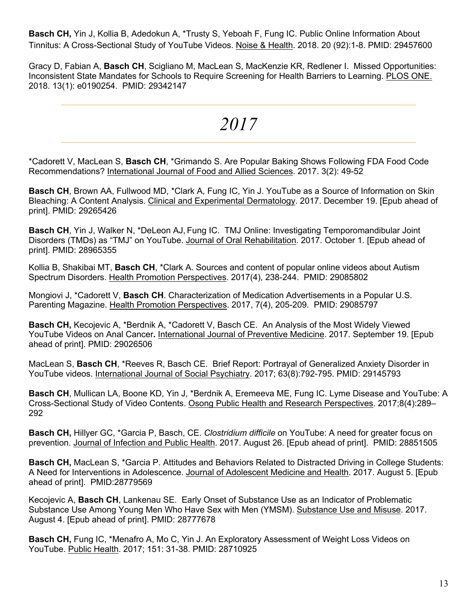**Basch CH,** Yin J, Kollia B, Adedokun A, \*Trusty S, Yeboah F, Fung IC. Public Online Information About Tinnitus: A Cross-Sectional Study of YouTube Videos. Noise & Health. 2018. 20 (92):1-8. PMID: 29457600

Gracy D, Fabian A, **Basch CH**, Scigliano M, MacLean S, MacKenzie KR, Redlener I. Missed Opportunities: Inconsistent State Mandates for Schools to Require Screening for Health Barriers to Learning. PLOS ONE. 2018. 13(1): e0190254. PMID: 29342147

### *2017*

\*Cadorett V, MacLean S, **Basch CH**, \*Grimando S. Are Popular Baking Shows Following FDA Food Code Recommendations? International Journal of Food and Allied Sciences. 2017. 3(2): 49-52

**Basch CH**, Brown AA, Fullwood MD, \*Clark A, Fung IC, Yin J. YouTube as a Source of Information on Skin Bleaching: A Content Analysis. Clinical and Experimental Dermatology. 2017. December 19. [Epub ahead of print]. PMID: 29265426

**Basch CH**, Yin J, Walker N, \*DeLeon AJ, Fung IC. TMJ Online: Investigating Temporomandibular Joint Disorders (TMDs) as "TMJ" on YouTube. Journal of Oral Rehabilitation. 2017. October 1. [Epub ahead of print]. PMID: 28965355

Kollia B, Shakibai MT, **Basch CH**, \*Clark A. Sources and content of popular online videos about Autism Spectrum Disorders. Health Promotion Perspectives. 2017(4), 238-244. PMID: 29085802

Mongiovi J, \*Cadorett V, **Basch CH**. Characterization of Medication Advertisements in a Popular U.S. Parenting Magazine. Health Promotion Perspectives. 2017, 7(4), 205-209. PMID: 29085797

**Basch CH,** Kecojevic A, \*Berdnik A, \*Cadorett V, Basch CE. An Analysis of the Most Widely Viewed YouTube Videos on Anal Cancer**.** International Journal of Preventive Medicine. 2017. September 19. [Epub ahead of print]. PMID: 29026506

MacLean S, **Basch CH**, \*Reeves R, Basch CE. Brief Report: Portrayal of Generalized Anxiety Disorder in YouTube videos. International Journal of Social Psychiatry. 2017; 63(8):792-795. PMID: 29145793

**Basch CH**, Mullican LA, Boone KD, Yin J, \*Berdnik A, Eremeeva ME, Fung IC. Lyme Disease and YouTube: A Cross-Sectional Study of Video Contents. Osong Public Health and Research Perspectives. 2017;8(4):289– 292

**Basch CH,** Hillyer GC, \*Garcia P, Basch, CE. *Clostridium difficile* on YouTube: A need for greater focus on prevention. Journal of Infection and Public Health. 2017. August 26. [Epub ahead of print]. PMID: 28851505

**Basch CH,** MacLean S, \*Garcia P. Attitudes and Behaviors Related to Distracted Driving in College Students: A Need for Interventions in Adolescence. Journal of Adolescent Medicine and Health. 2017. August 5. [Epub ahead of print]. PMID:28779569

Kecojevic A, **Basch CH**, Lankenau SE. Early Onset of Substance Use as an Indicator of Problematic Substance Use Among Young Men Who Have Sex with Men (YMSM). Substance Use and Misuse. 2017. August 4. [Epub ahead of print]. PMID: 28777678

**Basch CH,** Fung IC, \*Menafro A, Mo C, Yin J. An Exploratory Assessment of Weight Loss Videos on YouTube. Public Health. 2017; 151: 31-38. PMID: 28710925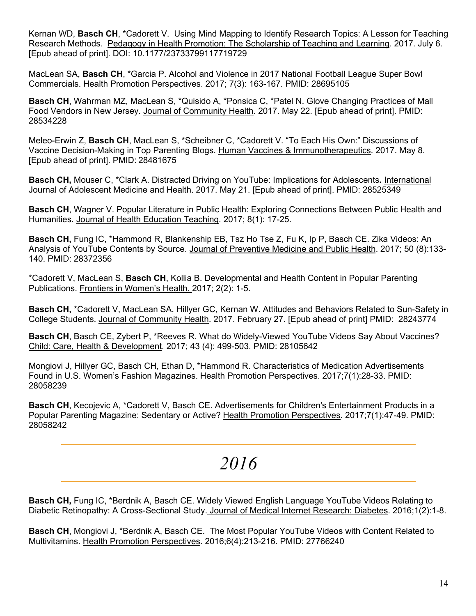Kernan WD, **Basch CH**, \*Cadorett V. Using Mind Mapping to Identify Research Topics: A Lesson for Teaching Research Methods. Pedagogy in Health Promotion: The Scholarship of Teaching and Learning. 2017. July 6. [Epub ahead of print]. DOI: 10.1177/23733799117719729

MacLean SA, **Basch CH**, \*Garcia P. Alcohol and Violence in 2017 National Football League Super Bowl Commercials. Health Promotion Perspectives. 2017; 7(3): 163-167. PMID: 28695105

**Basch CH**, Wahrman MZ, MacLean S, \*Quisido A, \*Ponsica C, \*Patel N. Glove Changing Practices of Mall Food Vendors in New Jersey. Journal of Community Health. 2017. May 22. [Epub ahead of print]. PMID: 28534228

Meleo-Erwin Z, **Basch CH**, MacLean S, \*Scheibner C, \*Cadorett V. "To Each His Own:" Discussions of Vaccine Decision-Making in Top Parenting Blogs. Human Vaccines & Immunotherapeutics. 2017. May 8. [Epub ahead of print]. PMID: 28481675

**Basch CH,** Mouser C, \*Clark A. Distracted Driving on YouTube: Implications for Adolescents**.** International Journal of Adolescent Medicine and Health. 2017. May 21. [Epub ahead of print]. PMID: 28525349

**Basch CH**, Wagner V. Popular Literature in Public Health: Exploring Connections Between Public Health and Humanities. Journal of Health Education Teaching. 2017; 8(1): 17-25.

**Basch CH,** Fung IC, \*Hammond R, Blankenship EB, Tsz Ho Tse Z, Fu K, Ip P, Basch CE. Zika Videos: An Analysis of YouTube Contents by Source. Journal of Preventive Medicine and Public Health. 2017; 50 (8):133- 140. PMID: 28372356

\*Cadorett V, MacLean S, **Basch CH**, Kollia B. Developmental and Health Content in Popular Parenting Publications. Frontiers in Women's Health. 2017; 2(2): 1-5.

**Basch CH,** \*Cadorett V, MacLean SA, Hillyer GC, Kernan W. Attitudes and Behaviors Related to Sun-Safety in College Students. Journal of Community Health. 2017. February 27. [Epub ahead of print] PMID: 28243774

**Basch CH**, Basch CE, Zybert P, \*Reeves R. What do Widely-Viewed YouTube Videos Say About Vaccines? Child: Care, Health & Development. 2017; 43 (4): 499-503. PMID: 28105642

Mongiovi J, Hillyer GC, Basch CH, Ethan D, \*Hammond R. Characteristics of Medication Advertisements Found in U.S. Women's Fashion Magazines. Health Promotion Perspectives. 2017;7(1):28-33. PMID: 28058239

**Basch CH**, Kecojevic A, \*Cadorett V, Basch CE. Advertisements for Children's Entertainment Products in a Popular Parenting Magazine: Sedentary or Active? Health Promotion Perspectives. 2017;7(1):47-49. PMID: 28058242

### *2016*

**Basch CH,** Fung IC, \*Berdnik A, Basch CE. Widely Viewed English Language YouTube Videos Relating to Diabetic Retinopathy: A Cross-Sectional Study. Journal of Medical Internet Research: Diabetes. 2016;1(2):1-8.

**Basch CH**, Mongiovi J, \*Berdnik A, Basch CE. The Most Popular YouTube Videos with Content Related to Multivitamins. Health Promotion Perspectives. 2016;6(4):213-216. PMID: 27766240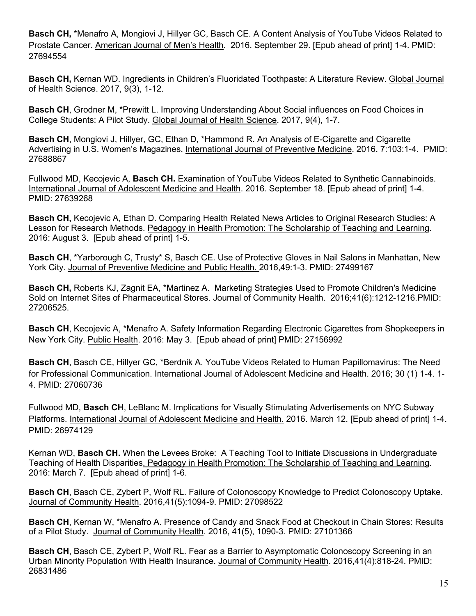**Basch CH,** \*Menafro A, Mongiovi J, Hillyer GC, Basch CE. A Content Analysis of YouTube Videos Related to Prostate Cancer. American Journal of Men's Health. 2016. September 29. [Epub ahead of print] 1-4. PMID: 27694554

**Basch CH,** Kernan WD. Ingredients in Children's Fluoridated Toothpaste: A Literature Review. Global Journal of Health Science. 2017, 9(3), 1-12.

**Basch CH**, Grodner M, \*Prewitt L. Improving Understanding About Social influences on Food Choices in College Students: A Pilot Study. Global Journal of Health Science. 2017, 9(4), 1-7.

**Basch CH**, Mongiovi J, Hillyer, GC, Ethan D, \*Hammond R. An Analysis of E-Cigarette and Cigarette Advertising in U.S. Women's Magazines. International Journal of Preventive Medicine. 2016. 7:103:1-4. PMID: 27688867

Fullwood MD, Kecojevic A, **Basch CH.** Examination of YouTube Videos Related to Synthetic Cannabinoids. International Journal of Adolescent Medicine and Health. 2016. September 18. [Epub ahead of print] 1-4. PMID: 27639268

**Basch CH,** Kecojevic A, Ethan D. Comparing Health Related News Articles to Original Research Studies: A Lesson for Research Methods. Pedagogy in Health Promotion: The Scholarship of Teaching and Learning. 2016: August 3. [Epub ahead of print] 1-5.

**Basch CH**, \*Yarborough C, Trusty\* S, Basch CE. Use of Protective Gloves in Nail Salons in Manhattan, New York City. Journal of Preventive Medicine and Public Health. 2016,49:1-3. PMID: 27499167

**Basch CH,** Roberts KJ, Zagnit EA, \*Martinez A. Marketing Strategies Used to Promote Children's Medicine Sold on Internet Sites of Pharmaceutical Stores. Journal of Community Health. 2016;41(6):1212-1216.PMID: 27206525.

**Basch CH**, Kecojevic A, \*Menafro A. Safety Information Regarding Electronic Cigarettes from Shopkeepers in New York City. Public Health. 2016: May 3. [Epub ahead of print] PMID: 27156992

**Basch CH**, Basch CE, Hillyer GC, \*Berdnik A. YouTube Videos Related to Human Papillomavirus: The Need for Professional Communication. International Journal of Adolescent Medicine and Health. 2016; 30 (1) 1-4. 1- 4. PMID: 27060736

Fullwood MD, **Basch CH**, LeBlanc M. Implications for Visually Stimulating Advertisements on NYC Subway Platforms. International Journal of Adolescent Medicine and Health. 2016. March 12. [Epub ahead of print] 1-4. PMID: 26974129

Kernan WD, **Basch CH.** When the Levees Broke: A Teaching Tool to Initiate Discussions in Undergraduate Teaching of Health Disparities. Pedagogy in Health Promotion: The Scholarship of Teaching and Learning. 2016: March 7. [Epub ahead of print] 1-6.

**Basch CH**, Basch CE, Zybert P, Wolf RL. Failure of Colonoscopy Knowledge to Predict Colonoscopy Uptake. Journal of Community Health. 2016,41(5):1094-9. PMID: 27098522

**Basch CH**, Kernan W, \*Menafro A. Presence of Candy and Snack Food at Checkout in Chain Stores: Results of a Pilot Study. Journal of Community Health. 2016, 41(5), 1090-3. PMID: 27101366

**Basch CH**, Basch CE, Zybert P, Wolf RL. Fear as a Barrier to Asymptomatic Colonoscopy Screening in an Urban Minority Population With Health Insurance. Journal of Community Health. 2016,41(4):818-24. PMID: 26831486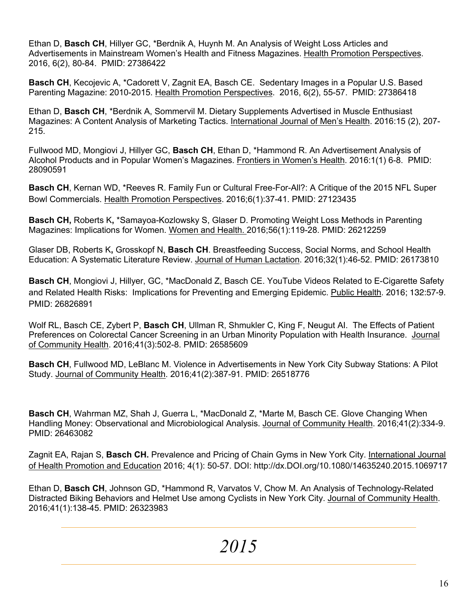Ethan D, **Basch CH**, Hillyer GC, \*Berdnik A, Huynh M. An Analysis of Weight Loss Articles and Advertisements in Mainstream Women's Health and Fitness Magazines. Health Promotion Perspectives. 2016, 6(2), 80-84. PMID: 27386422

**Basch CH**, Kecojevic A, \*Cadorett V, Zagnit EA, Basch CE. Sedentary Images in a Popular U.S. Based Parenting Magazine: 2010-2015. Health Promotion Perspectives. 2016, 6(2), 55-57. PMID: 27386418

Ethan D, **Basch CH**, \*Berdnik A, Sommervil M. Dietary Supplements Advertised in Muscle Enthusiast Magazines: A Content Analysis of Marketing Tactics. International Journal of Men's Health. 2016:15 (2), 207- 215.

Fullwood MD, Mongiovi J, Hillyer GC, **Basch CH**, Ethan D, \*Hammond R. An Advertisement Analysis of Alcohol Products and in Popular Women's Magazines. Frontiers in Women's Health. 2016:1(1) 6-8. PMID: 28090591

**Basch CH**, Kernan WD, \*Reeves R. Family Fun or Cultural Free-For-All?: A Critique of the 2015 NFL Super Bowl Commercials. Health Promotion Perspectives. 2016;6(1):37-41. PMID: 27123435

**Basch CH,** Roberts K**,** \*Samayoa-Kozlowsky S, Glaser D. Promoting Weight Loss Methods in Parenting Magazines: Implications for Women. Women and Health. 2016;56(1):119-28. PMID: 26212259

Glaser DB, Roberts K**,** Grosskopf N, **Basch CH**. Breastfeeding Success, Social Norms, and School Health Education: A Systematic Literature Review. Journal of Human Lactation. 2016;32(1):46-52. PMID: 26173810

**Basch CH**, Mongiovi J, Hillyer, GC, \*MacDonald Z, Basch CE. YouTube Videos Related to E-Cigarette Safety and Related Health Risks: Implications for Preventing and Emerging Epidemic. Public Health. 2016; 132:57-9. PMID: 26826891

Wolf RL, Basch CE, Zybert P, **Basch CH**, Ullman R, Shmukler C, King F, Neugut AI. The Effects of Patient Preferences on Colorectal Cancer Screening in an Urban Minority Population with Health Insurance. Journal of Community Health. 2016;41(3):502-8. PMID: 26585609

**Basch CH**, Fullwood MD, LeBlanc M. Violence in Advertisements in New York City Subway Stations: A Pilot Study. Journal of Community Health. 2016;41(2):387-91. PMID: 26518776

**Basch CH**, Wahrman MZ, Shah J, Guerra L, \*MacDonald Z, \*Marte M, Basch CE. Glove Changing When Handling Money: Observational and Microbiological Analysis. Journal of Community Health. 2016;41(2):334-9. PMID: 26463082

Zagnit EA, Rajan S, **Basch CH.** Prevalence and Pricing of Chain Gyms in New York City. International Journal of Health Promotion and Education 2016; 4(1): 50-57. DOI: http://dx.DOI.org/10.1080/14635240.2015.1069717

Ethan D, **Basch CH**, Johnson GD, \*Hammond R, Varvatos V, Chow M. An Analysis of Technology-Related Distracted Biking Behaviors and Helmet Use among Cyclists in New York City. Journal of Community Health. 2016;41(1):138-45. PMID: 26323983

*2015*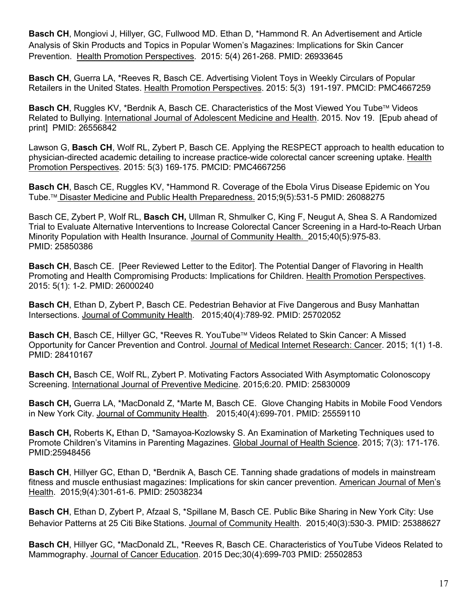**Basch CH**, Mongiovi J, Hillyer, GC, Fullwood MD. Ethan D, \*Hammond R. An Advertisement and Article Analysis of Skin Products and Topics in Popular Women's Magazines: Implications for Skin Cancer Prevention. Health Promotion Perspectives. 2015: 5(4) 261-268. PMID: 26933645

**Basch CH**, Guerra LA, \*Reeves R, Basch CE. Advertising Violent Toys in Weekly Circulars of Popular Retailers in the United States. Health Promotion Perspectives. 2015: 5(3) 191-197. PMCID: PMC4667259

**Basch CH**, Ruggles KV, \*Berdnik A, Basch CE. Characteristics of the Most Viewed You Tube™ Videos Related to Bullying. International Journal of Adolescent Medicine and Health. 2015. Nov 19. [Epub ahead of print] PMID: 26556842

Lawson G, **Basch CH**, Wolf RL, Zybert P, Basch CE. Applying the RESPECT approach to health education to physician-directed academic detailing to increase practice-wide colorectal cancer screening uptake. Health Promotion Perspectives. 2015: 5(3) 169-175. PMCID: PMC4667256

**Basch CH**, Basch CE, Ruggles KV, \*Hammond R. Coverage of the Ebola Virus Disease Epidemic on You Tube.<sup>™</sup> Disaster Medicine and Public Health Preparedness. 2015;9(5):531-5 PMID: 26088275

Basch CE, Zybert P, Wolf RL, **Basch CH,** Ullman R, Shmulker C, King F, Neugut A, Shea S. A Randomized Trial to Evaluate Alternative Interventions to Increase Colorectal Cancer Screening in a Hard-to-Reach Urban Minority Population with Health Insurance. Journal of Community Health. 2015;40(5):975-83. PMID: 25850386

**Basch CH**, Basch CE. [Peer Reviewed Letter to the Editor]. The Potential Danger of Flavoring in Health Promoting and Health Compromising Products: Implications for Children. Health Promotion Perspectives. 2015: 5(1): 1-2. PMID: 26000240

**Basch CH**, Ethan D, Zybert P, Basch CE. Pedestrian Behavior at Five Dangerous and Busy Manhattan Intersections. Journal of Community Health. 2015;40(4):789-92. PMID: 25702052

**Basch CH**, Basch CE, Hillyer GC, \*Reeves R. YouTube™ Videos Related to Skin Cancer: A Missed Opportunity for Cancer Prevention and Control. Journal of Medical Internet Research: Cancer. 2015; 1(1) 1-8. PMID: 28410167

**Basch CH,** Basch CE, Wolf RL, Zybert P. Motivating Factors Associated With Asymptomatic Colonoscopy Screening. International Journal of Preventive Medicine. 2015;6:20. PMID: 25830009

**Basch CH,** Guerra LA, \*MacDonald Z, \*Marte M, Basch CE. Glove Changing Habits in Mobile Food Vendors in New York City. Journal of Community Health. 2015;40(4):699-701. PMID: 25559110

**Basch CH,** Roberts K**,** Ethan D, \*Samayoa-Kozlowsky S. An Examination of Marketing Techniques used to Promote Children's Vitamins in Parenting Magazines. Global Journal of Health Science. 2015; 7(3): 171-176. PMID:25948456

**Basch CH**, Hillyer GC, Ethan D, \*Berdnik A, Basch CE. Tanning shade gradations of models in mainstream fitness and muscle enthusiast magazines: Implications for skin cancer prevention. American Journal of Men's Health. 2015;9(4):301-61-6. PMID: 25038234

**Basch CH**, Ethan D, Zybert P, Afzaal S, \*Spillane M, Basch CE. Public Bike Sharing in New York City: Use Behavior Patterns at 25 Citi Bike Stations. Journal of Community Health. 2015;40(3):530-3. PMID: 25388627

**Basch CH**, Hillyer GC, \*MacDonald ZL, \*Reeves R, Basch CE. Characteristics of YouTube Videos Related to Mammography. Journal of Cancer Education. 2015 Dec;30(4):699-703 PMID: 25502853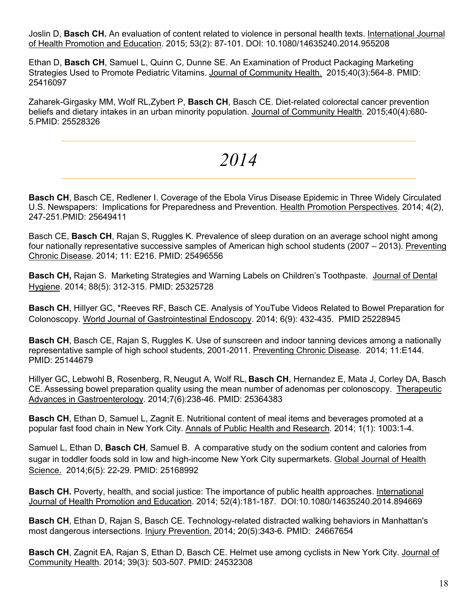Joslin D, **Basch CH.** An evaluation of content related to violence in personal health texts. International Journal of Health Promotion and Education. 2015; 53(2): 87-101. DOI: 10.1080/14635240.2014.955208

Ethan D, **Basch CH**, Samuel L, Quinn C, Dunne SE. An Examination of Product Packaging Marketing Strategies Used to Promote Pediatric Vitamins. Journal of Community Health. 2015;40(3):564-8. PMID: 25416097

Zaharek-Girgasky MM, Wolf RL,Zybert P, **Basch CH**, Basch CE. Diet-related colorectal cancer prevention beliefs and dietary intakes in an urban minority population. Journal of Community Health. 2015;40(4):680- 5.PMID: 25528326

### *2014*

**Basch CH**, Basch CE, Redlener I. Coverage of the Ebola Virus Disease Epidemic in Three Widely Circulated U.S. Newspapers: Implications for Preparedness and Prevention. Health Promotion Perspectives. 2014; 4(2), 247-251.PMID: 25649411

Basch CE, **Basch CH**, Rajan S, Ruggles K. Prevalence of sleep duration on an average school night among four nationally representative successive samples of American high school students (2007 – 2013). Preventing Chronic Disease. 2014; 11: E216. PMID: 25496556

**Basch CH,** Rajan S. Marketing Strategies and Warning Labels on Children's Toothpaste. Journal of Dental Hygiene. 2014; 88(5): 312-315. PMID: 25325728

**Basch CH**, Hillyer GC, \*Reeves RF, Basch CE. Analysis of YouTube Videos Related to Bowel Preparation for Colonoscopy. World Journal of Gastrointestinal Endoscopy. 2014; 6(9): 432-435. PMID 25228945

**Basch CH**, Basch CE, Rajan S, Ruggles K. Use of sunscreen and indoor tanning devices among a nationally representative sample of high school students, 2001-2011. Preventing Chronic Disease. 2014; 11:E144. PMID: 25144679

Hillyer GC, Lebwohl B, Rosenberg, R, Neugut A, Wolf RL, **Basch CH**, Hernandez E, Mata J, Corley DA, Basch CE. Assessing bowel preparation quality using the mean number of adenomas per colonoscopy. Therapeutic Advances in Gastroenterology. 2014;7(6):238-46. PMID: 25364383

**Basch CH**, Ethan D, Samuel L, Zagnit E. Nutritional content of meal items and beverages promoted at a popular fast food chain in New York City. Annals of Public Health and Research. 2014; 1(1): 1003:1-4.

Samuel L, Ethan D, **Basch CH**, Samuel B. A comparative study on the sodium content and calories from sugar in toddler foods sold in low and high-income New York City supermarkets. Global Journal of Health Science. 2014;6(5): 22-29. PMID: 25168992

**Basch CH.** Poverty, health, and social justice: The importance of public health approaches. International Journal of Health Promotion and Education. 2014; 52(4):181-187. DOI:10.1080/14635240.2014.894669

**Basch CH**, Ethan D, Rajan S, Basch CE. Technology-related distracted walking behaviors in Manhattan's most dangerous intersections. Injury Prevention. 2014; 20(5):343-6. PMID: 24667654

**Basch CH**, Zagnit EA, Rajan S, Ethan D, Basch CE. Helmet use among cyclists in New York City. Journal of Community Health. 2014; 39(3): 503-507. PMID: 24532308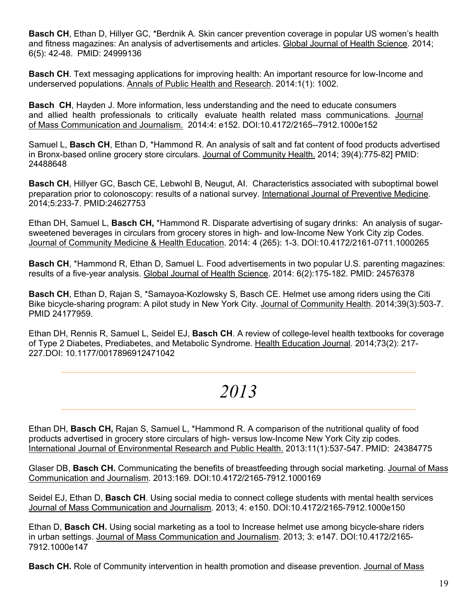**Basch CH**, Ethan D, Hillyer GC, \*Berdnik A. Skin cancer prevention coverage in popular US women's health and fitness magazines: An analysis of advertisements and articles. Global Journal of Health Science. 2014; 6(5): 42-48. PMID: 24999136

**Basch CH**. Text messaging applications for improving health: An important resource for low-Income and underserved populations. Annals of Public Health and Research. 2014:1(1): 1002.

**Basch CH**, Hayden J. More information, less understanding and the need to educate consumers and allied health professionals to critically evaluate health related mass communications. Journal of Mass Communication and Journalism. 2014:4: e152. DOI:10.4172/2165--7912.1000e152

Samuel L, **Basch CH**, Ethan D, \*Hammond R. An analysis of salt and fat content of food products advertised in Bronx-based online grocery store circulars. Journal of Community Health. 2014; 39(4):775-82] PMID: 24488648

**Basch CH**, Hillyer GC, Basch CE, Lebwohl B, Neugut, AI. Characteristics associated with suboptimal bowel preparation prior to colonoscopy: results of a national survey. International Journal of Preventive Medicine. 2014;5:233-7. PMID:24627753

Ethan DH, Samuel L, **Basch CH,** \*Hammond R. Disparate advertising of sugary drinks: An analysis of sugarsweetened beverages in circulars from grocery stores in high- and low-Income New York City zip Codes. Journal of Community Medicine & Health Education. 2014: 4 (265): 1-3. DOI:10.4172/2161-0711.1000265

**Basch CH**, \*Hammond R, Ethan D, Samuel L. Food advertisements in two popular U.S. parenting magazines: results of a five-year analysis. Global Journal of Health Science. 2014: 6(2):175-182. PMID: 24576378

**Basch CH**, Ethan D, Rajan S, \*Samayoa-Kozlowsky S, Basch CE. Helmet use among riders using the Citi Bike bicycle-sharing program: A pilot study in New York City. Journal of Community Health. 2014;39(3):503-7. PMID 24177959.

Ethan DH, Rennis R, Samuel L, Seidel EJ, **Basch CH**. A review of college-level health textbooks for coverage of Type 2 Diabetes, Prediabetes, and Metabolic Syndrome. Health Education Journal. 2014;73(2): 217- 227.DOI: 10.1177/0017896912471042

### *2013*

Ethan DH, **Basch CH,** Rajan S, Samuel L, \*Hammond R. A comparison of the nutritional quality of food products advertised in grocery store circulars of high- versus low-Income New York City zip codes. International Journal of Environmental Research and Public Health. 2013:11(1):537-547. PMID: 24384775

Glaser DB, **Basch CH.** Communicating the benefits of breastfeeding through social marketing. Journal of Mass Communication and Journalism. 2013:169. DOI:10.4172/2165-7912.1000169

Seidel EJ, Ethan D, **Basch CH**. Using social media to connect college students with mental health services Journal of Mass Communication and Journalism. 2013; 4: e150. DOI:10.4172/2165-7912.1000e150

Ethan D, **Basch CH.** Using social marketing as a tool to Increase helmet use among bicycle-share riders in urban settings. Journal of Mass Communication and Journalism. 2013; 3: e147. DOI:10.4172/2165- 7912.1000e147

**Basch CH.** Role of Community intervention in health promotion and disease prevention. Journal of Mass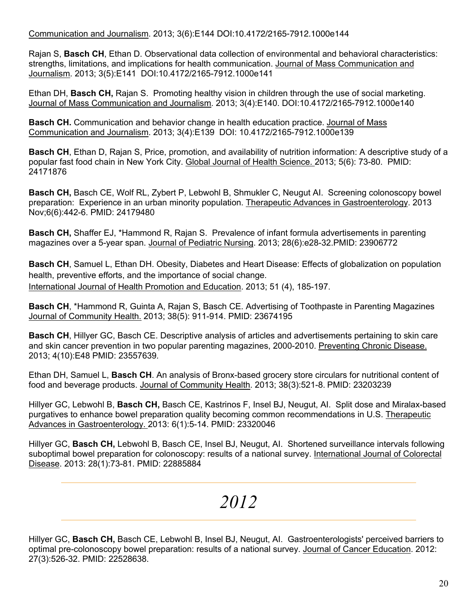Communication and Journalism. 2013; 3(6):E144 DOI:10.4172/2165-7912.1000e144

Rajan S, **Basch CH**, Ethan D. Observational data collection of environmental and behavioral characteristics: strengths, limitations, and implications for health communication. Journal of Mass Communication and Journalism. 2013; 3(5):E141 DOI:10.4172/2165-7912.1000e141

Ethan DH, **Basch CH,** Rajan S.Promoting healthy vision in children through the use of social marketing. Journal of Mass Communication and Journalism. 2013; 3(4):E140. DOI:10.4172/2165-7912.1000e140

**Basch CH.** Communication and behavior change in health education practice. Journal of Mass Communication and Journalism. 2013; 3(4):E139 DOI: 10.4172/2165-7912.1000e139

**Basch CH**, Ethan D, Rajan S, Price, promotion, and availability of nutrition information: A descriptive study of a popular fast food chain in New York City. Global Journal of Health Science. 2013; 5(6): 73-80. PMID: 24171876

**Basch CH,** Basch CE, Wolf RL, Zybert P, Lebwohl B, Shmukler C, Neugut AI. Screening colonoscopy bowel preparation: Experience in an urban minority population. Therapeutic Advances in Gastroenterology. 2013 Nov;6(6):442-6. PMID: 24179480

**Basch CH,** Shaffer EJ, \*Hammond R, Rajan S. Prevalence of infant formula advertisements in parenting magazines over a 5-year span. Journal of Pediatric Nursing. 2013; 28(6):e28-32.PMID: 23906772

**Basch CH**, Samuel L, Ethan DH. Obesity, Diabetes and Heart Disease: Effects of globalization on population health, preventive efforts, and the importance of social change. International Journal of Health Promotion and Education. 2013; 51 (4), 185-197.

**Basch CH**, \*Hammond R, Guinta A, Rajan S, Basch CE. Advertising of Toothpaste in Parenting Magazines Journal of Community Health. 2013; 38(5): 911-914. PMID: 23674195

**Basch CH**, Hillyer GC, Basch CE. Descriptive analysis of articles and advertisements pertaining to skin care and skin cancer prevention in two popular parenting magazines, 2000-2010. Preventing Chronic Disease. 2013; 4(10):E48 PMID: 23557639*.* 

Ethan DH, Samuel L, **Basch CH**. An analysis of Bronx-based grocery store circulars for nutritional content of food and beverage products. Journal of Community Health. 2013; 38(3):521-8. PMID: 23203239

Hillyer GC, Lebwohl B, **Basch CH,** Basch CE, Kastrinos F, Insel BJ, Neugut, AI. Split dose and Miralax-based purgatives to enhance bowel preparation quality becoming common recommendations in U.S. Therapeutic Advances in Gastroenterology. 2013: 6(1):5-14. PMID: 23320046

Hillyer GC, **Basch CH,** Lebwohl B, Basch CE, Insel BJ, Neugut, AI. Shortened surveillance intervals following suboptimal bowel preparation for colonoscopy: results of a national survey. International Journal of Colorectal Disease. 2013: 28(1):73-81. PMID: 22885884

# *2012*

Hillyer GC, **Basch CH,** Basch CE, Lebwohl B, Insel BJ, Neugut, AI. Gastroenterologists' perceived barriers to optimal pre-colonoscopy bowel preparation: results of a national survey. Journal of Cancer Education. 2012: 27(3):526-32. PMID: 22528638.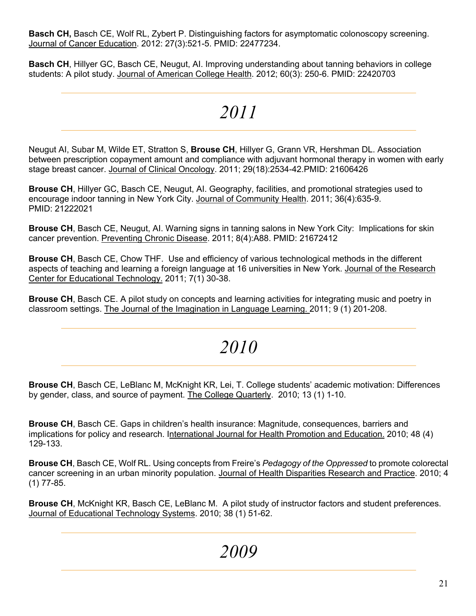**Basch CH,** Basch CE, Wolf RL, Zybert P. Distinguishing factors for asymptomatic colonoscopy screening. Journal of Cancer Education. 2012: 27(3):521-5. PMID: 22477234.

**Basch CH**, Hillyer GC, Basch CE, Neugut, AI. Improving understanding about tanning behaviors in college students: A pilot study. Journal of American College Health. 2012; 60(3): 250-6. PMID: 22420703

# *2011*

Neugut AI, Subar M, Wilde ET, Stratton S, **Brouse CH**, Hillyer G, Grann VR, Hershman DL. Association between prescription copayment amount and compliance with adjuvant hormonal therapy in women with early stage breast cancer. Journal of Clinical Oncology. 2011; 29(18):2534-42.PMID: 21606426

**Brouse CH**, Hillyer GC, Basch CE, Neugut, AI. Geography, facilities, and promotional strategies used to encourage indoor tanning in New York City. Journal of Community Health. 2011; 36(4):635-9. PMID: 21222021

**Brouse CH**, Basch CE, Neugut, AI. Warning signs in tanning salons in New York City: Implications for skin cancer prevention. Preventing Chronic Disease. 2011; 8(4):A88. PMID: 21672412

**Brouse CH**, Basch CE, Chow THF. Use and efficiency of various technological methods in the different aspects of teaching and learning a foreign language at 16 universities in New York. Journal of the Research Center for Educational Technology. 2011; 7(1) 30-38.

**Brouse CH**, Basch CE. A pilot study on concepts and learning activities for integrating music and poetry in classroom settings. The Journal of the Imagination in Language Learning. 2011; 9 (1) 201-208.

### *2010*

**Brouse CH**, Basch CE, LeBlanc M, McKnight KR, Lei, T. College students' academic motivation: Differences by gender, class, and source of payment. The College Quarterly. 2010; 13 (1) 1-10.

**Brouse CH**, Basch CE. Gaps in children's health insurance: Magnitude, consequences, barriers and implications for policy and research. International Journal for Health Promotion and Education. 2010; 48 (4) 129-133.

**Brouse CH**, Basch CE, Wolf RL. Using concepts from Freire's *Pedagogy of the Oppressed* to promote colorectal cancer screening in an urban minority population. Journal of Health Disparities Research and Practice. 2010; 4 (1) 77-85.

**Brouse CH**, McKnight KR, Basch CE, LeBlanc M. A pilot study of instructor factors and student preferences. Journal of Educational Technology Systems. 2010; 38 (1) 51-62.

*2009*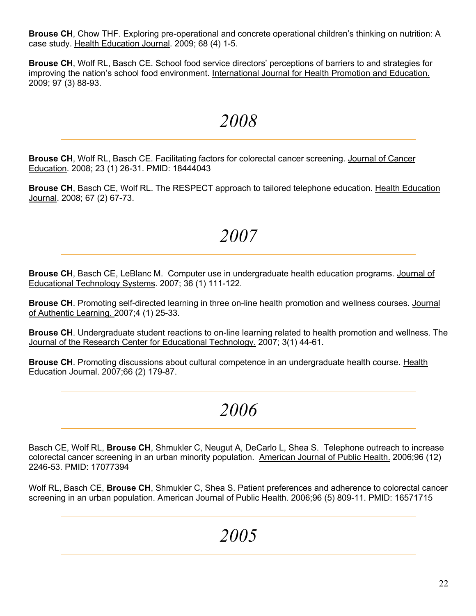**Brouse CH**, Chow THF. Exploring pre-operational and concrete operational children's thinking on nutrition: A case study. Health Education Journal. 2009; 68 (4) 1-5.

**Brouse CH**, Wolf RL, Basch CE. School food service directors' perceptions of barriers to and strategies for improving the nation's school food environment. International Journal for Health Promotion and Education. 2009; 97 (3) 88-93.

### *2008*

**Brouse CH**, Wolf RL, Basch CE. Facilitating factors for colorectal cancer screening. Journal of Cancer Education. 2008; 23 (1) 26-31. PMID: 18444043

**Brouse CH**, Basch CE, Wolf RL. The RESPECT approach to tailored telephone education. Health Education Journal. 2008; 67 (2) 67-73.

### *2007*

**Brouse CH**, Basch CE, LeBlanc M. Computer use in undergraduate health education programs. Journal of Educational Technology Systems. 2007; 36 (1) 111-122.

**Brouse CH**. Promoting self-directed learning in three on-line health promotion and wellness courses. Journal of Authentic Learning. 2007;4 (1) 25-33.

**Brouse CH**. Undergraduate student reactions to on-line learning related to health promotion and wellness. The Journal of the Research Center for Educational Technology. 2007; 3(1) 44-61.

**Brouse CH**. Promoting discussions about cultural competence in an undergraduate health course. Health Education Journal. 2007;66 (2) 179-87.

### *2006*

Basch CE, Wolf RL, **Brouse CH**, Shmukler C, Neugut A, DeCarlo L, Shea S. Telephone outreach to increase colorectal cancer screening in an urban minority population. American Journal of Public Health. 2006;96 (12) 2246-53. PMID: 17077394

Wolf RL, Basch CE, **Brouse CH**, Shmukler C, Shea S. Patient preferences and adherence to colorectal cancer screening in an urban population. American Journal of Public Health. 2006;96 (5) 809-11. PMID: 16571715

### *2005*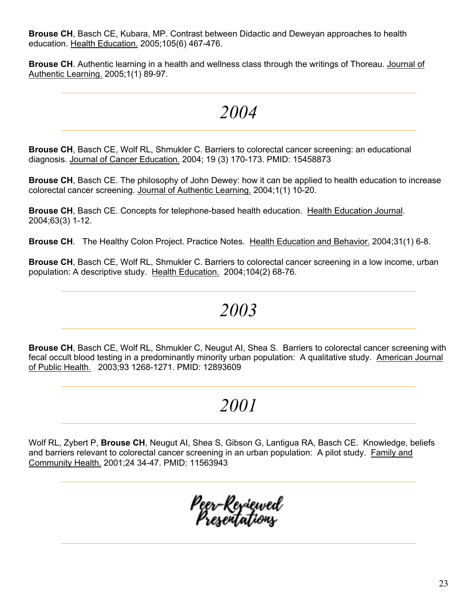**Brouse CH**, Basch CE, Kubara, MP. Contrast between Didactic and Deweyan approaches to health education. Health Education. 2005;105(6) 467-476.

**Brouse CH**. Authentic learning in a health and wellness class through the writings of Thoreau. Journal of Authentic Learning. 2005;1(1) 89-97.

### *2004*

**Brouse CH**, Basch CE, Wolf RL, Shmukler C. Barriers to colorectal cancer screening: an educational diagnosis. Journal of Cancer Education. 2004; 19 (3) 170-173. PMID: 15458873

**Brouse CH**, Basch CE. The philosophy of John Dewey: how it can be applied to health education to increase colorectal cancer screening. Journal of Authentic Learning. 2004;1(1) 10-20.

**Brouse CH**, Basch CE. Concepts for telephone-based health education. Health Education Journal. 2004;63(3) 1-12.

**Brouse CH**. The Healthy Colon Project. Practice Notes. Health Education and Behavior. 2004;31(1) 6-8.

**Brouse CH**, Basch CE, Wolf RL, Shmukler C. Barriers to colorectal cancer screening in a low income, urban population: A descriptive study. Health Education. 2004;104(2) 68-76.

### *2003*

**Brouse CH**, Basch CE, Wolf RL, Shmukler C, Neugut AI, Shea S. Barriers to colorectal cancer screening with fecal occult blood testing in a predominantly minority urban population: A qualitative study. American Journal of Public Health. 2003;93 1268-1271. PMID: 12893609

### *2001*

Wolf RL, Zybert P, **Brouse CH**, Neugut AI, Shea S, Gibson G, Lantigua RA, Basch CE. Knowledge, beliefs and barriers relevant to colorectal cancer screening in an urban population: A pilot study. Family and Community Health. 2001;24 34-47. PMID: 11563943

Peer-Re<sub>r</sub>iewed<br>Presentations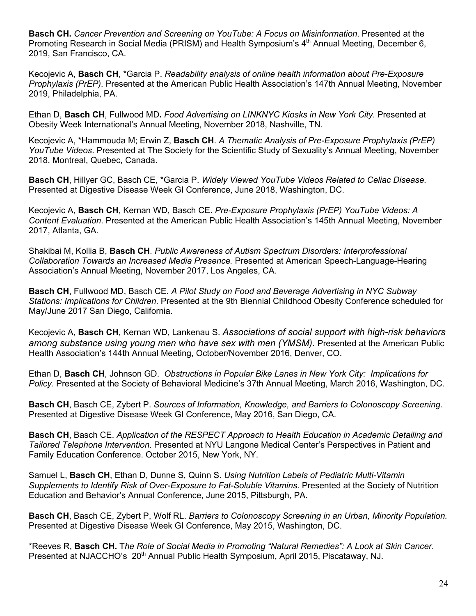**Basch CH.** *Cancer Prevention and Screening on YouTube: A Focus on Misinformation*. Presented at the Promoting Research in Social Media (PRISM) and Health Symposium's 4<sup>th</sup> Annual Meeting, December 6, 2019, San Francisco, CA.

Kecojevic A, **Basch CH**, \*Garcia P. *Readability analysis of online health information about Pre-Exposure Prophylaxis (PrEP)*. Presented at the American Public Health Association's 147th Annual Meeting, November 2019, Philadelphia, PA.

Ethan D, **Basch CH**, Fullwood MD**.** *Food Advertising on LINKNYC Kiosks in New York City*. Presented at Obesity Week International's Annual Meeting, November 2018, Nashville, TN.

Kecojevic A, \*Hammouda M; Erwin Z, **Basch CH**. *A Thematic Analysis of Pre-Exposure Prophylaxis (PrEP) YouTube Videos*. Presented at The Society for the Scientific Study of Sexuality's Annual Meeting, November 2018, Montreal, Quebec, Canada.

**Basch CH**, Hillyer GC, Basch CE, \*Garcia P. *Widely Viewed YouTube Videos Related to Celiac Disease.* Presented at Digestive Disease Week GI Conference, June 2018, Washington, DC.

Kecojevic A, **Basch CH**, Kernan WD, Basch CE. *Pre-Exposure Prophylaxis (PrEP) YouTube Videos: A Content Evaluation*. Presented at the American Public Health Association's 145th Annual Meeting, November 2017, Atlanta, GA.

Shakibai M, Kollia B, **Basch CH**. *Public Awareness of Autism Spectrum Disorders: Interprofessional Collaboration Towards an Increased Media Presence.* Presented at American Speech-Language-Hearing Association's Annual Meeting, November 2017, Los Angeles, CA.

**Basch CH**, Fullwood MD, Basch CE. *A Pilot Study on Food and Beverage Advertising in NYC Subway Stations: Implications for Children*. Presented at the 9th Biennial Childhood Obesity Conference scheduled for May/June 2017 San Diego, California.

Kecojevic A, **Basch CH**, Kernan WD, Lankenau S. *Associations of social support with high-risk behaviors*  among substance using young men who have sex with men (YMSM). Presented at the American Public Health Association's 144th Annual Meeting, October/November 2016, Denver, CO.

Ethan D, **Basch CH**, Johnson GD. *Obstructions in Popular Bike Lanes in New York City: Implications for Policy*. Presented at the Society of Behavioral Medicine's 37th Annual Meeting, March 2016, Washington, DC.

**Basch CH**, Basch CE, Zybert P. *Sources of Information, Knowledge, and Barriers to Colonoscopy Screening.* Presented at Digestive Disease Week GI Conference, May 2016, San Diego, CA.

**Basch CH**, Basch CE. *Application of the RESPECT Approach to Health Education in Academic Detailing and Tailored Telephone Intervention*. Presented at NYU Langone Medical Center's Perspectives in Patient and Family Education Conference. October 2015, New York, NY.

Samuel L, **Basch CH**, Ethan D, Dunne S, Quinn S. *Using Nutrition Labels of Pediatric Multi-Vitamin Supplements to Identify Risk of Over-Exposure to Fat-Soluble Vitamins*. Presented at the Society of Nutrition Education and Behavior's Annual Conference, June 2015, Pittsburgh, PA.

**Basch CH**, Basch CE, Zybert P, Wolf RL. *Barriers to Colonoscopy Screening in an Urban, Minority Population.* Presented at Digestive Disease Week GI Conference, May 2015, Washington, DC.

\*Reeves R, **Basch CH.** T*he Role of Social Media in Promoting "Natural Remedies": A Look at Skin Cancer*. Presented at NJACCHO's 20<sup>th</sup> Annual Public Health Symposium, April 2015, Piscataway, NJ.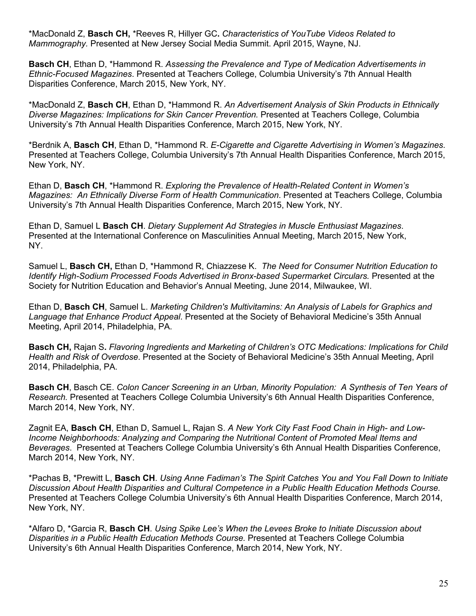\*MacDonald Z, **Basch CH,** \*Reeves R, Hillyer GC**.** *Characteristics of YouTube Videos Related to Mammography.* Presented at New Jersey Social Media Summit. April 2015, Wayne, NJ.

**Basch CH**, Ethan D, \*Hammond R. *Assessing the Prevalence and Type of Medication Advertisements in Ethnic-Focused Magazines*. Presented at Teachers College, Columbia University's 7th Annual Health Disparities Conference, March 2015, New York, NY.

\*MacDonald Z, **Basch CH**, Ethan D, \*Hammond R. *An Advertisement Analysis of Skin Products in Ethnically Diverse Magazines: Implications for Skin Cancer Prevention.* Presented at Teachers College, Columbia University's 7th Annual Health Disparities Conference, March 2015, New York, NY.

\*Berdnik A, **Basch CH**, Ethan D, \*Hammond R. *E-Cigarette and Cigarette Advertising in Women's Magazines*. Presented at Teachers College, Columbia University's 7th Annual Health Disparities Conference, March 2015, New York, NY.

Ethan D, **Basch CH**, \*Hammond R. *Exploring the Prevalence of Health-Related Content in Women's Magazines: An Ethnically Diverse Form of Health Communication*. Presented at Teachers College, Columbia University's 7th Annual Health Disparities Conference, March 2015, New York, NY.

Ethan D, Samuel L **Basch CH**. *Dietary Supplement Ad Strategies in Muscle Enthusiast Magazines*. Presented at the International Conference on Masculinities Annual Meeting, March 2015, New York, NY.

Samuel L, **Basch CH,** Ethan D, \*Hammond R, Chiazzese K. *The Need for Consumer Nutrition Education to Identify High-Sodium Processed Foods Advertised in Bronx-based Supermarket Circulars.* Presented at the Society for Nutrition Education and Behavior's Annual Meeting, June 2014, Milwaukee, WI.

Ethan D, **Basch CH**, Samuel L. *Marketing Children's Multivitamins: An Analysis of Labels for Graphics and Language that Enhance Product Appeal*. Presented at the Society of Behavioral Medicine's 35th Annual Meeting, April 2014, Philadelphia, PA.

**Basch CH,** Rajan S**.** *Flavoring Ingredients and Marketing of Children's OTC Medications: Implications for Child Health and Risk of Overdose*. Presented at the Society of Behavioral Medicine's 35th Annual Meeting, April 2014, Philadelphia, PA.

**Basch CH**, Basch CE. *Colon Cancer Screening in an Urban, Minority Population: A Synthesis of Ten Years of Research.* Presented at Teachers College Columbia University's 6th Annual Health Disparities Conference, March 2014, New York, NY.

Zagnit EA, **Basch CH**, Ethan D, Samuel L, Rajan S. *A New York City Fast Food Chain in High- and Low-Income Neighborhoods: Analyzing and Comparing the Nutritional Content of Promoted Meal Items and Beverages*. Presented at Teachers College Columbia University's 6th Annual Health Disparities Conference, March 2014, New York, NY.

\*Pachas B, \*Prewitt L, **Basch CH**. *Using Anne Fadiman's The Spirit Catches You and You Fall Down to Initiate Discussion About Health Disparities and Cultural Competence in a Public Health Education Methods Course.* Presented at Teachers College Columbia University's 6th Annual Health Disparities Conference, March 2014, New York, NY.

\*Alfaro D, \*Garcia R, **Basch CH**. *Using Spike Lee's When the Levees Broke to Initiate Discussion about Disparities in a Public Health Education Methods Course.* Presented at Teachers College Columbia University's 6th Annual Health Disparities Conference, March 2014, New York, NY.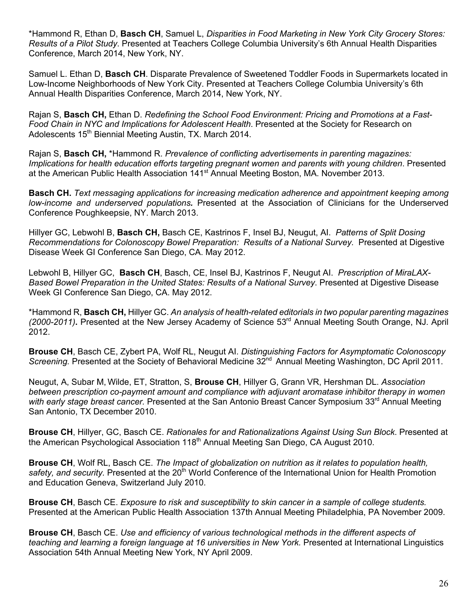\*Hammond R, Ethan D, **Basch CH**, Samuel L, *Disparities in Food Marketing in New York City Grocery Stores: Results of a Pilot Study*. Presented at Teachers College Columbia University's 6th Annual Health Disparities Conference, March 2014, New York, NY.

Samuel L. Ethan D, **Basch CH**. Disparate Prevalence of Sweetened Toddler Foods in Supermarkets located in Low-Income Neighborhoods of New York City. Presented at Teachers College Columbia University's 6th Annual Health Disparities Conference, March 2014, New York, NY.

Rajan S, **Basch CH,** Ethan D. *Redefining the School Food Environment: Pricing and Promotions at a Fast-Food Chain in NYC and Implications for Adolescent Health*. Presented at the Society for Research on Adolescents 15<sup>th</sup> Biennial Meeting Austin, TX. March 2014.

Rajan S, **Basch CH,** \*Hammond R. *Prevalence of conflicting advertisements in parenting magazines: Implications for health education efforts targeting pregnant women and parents with young children*. Presented at the American Public Health Association 141<sup>st</sup> Annual Meeting Boston, MA. November 2013.

**Basch CH.** *Text messaging applications for increasing medication adherence and appointment keeping among low-income and underserved populations.* Presented at the Association of Clinicians for the Underserved Conference Poughkeepsie, NY. March 2013.

Hillyer GC, Lebwohl B, **Basch CH,** Basch CE, Kastrinos F, Insel BJ, Neugut, AI. *Patterns of Split Dosing Recommendations for Colonoscopy Bowel Preparation: Results of a National Survey.* Presented at Digestive Disease Week GI Conference San Diego, CA. May 2012.

Lebwohl B, Hillyer GC, **Basch CH**, Basch, CE, Insel BJ, Kastrinos F, Neugut AI. *Prescription of MiraLAX-Based Bowel Preparation in the United States: Results of a National Survey*. Presented at Digestive Disease Week GI Conference San Diego, CA. May 2012.

\*Hammond R, **Basch CH,** Hillyer GC. *An analysis of health-related editorials in two popular parenting magazines*  (2000-2011). Presented at the New Jersey Academy of Science 53<sup>rd</sup> Annual Meeting South Orange, NJ. April 2012.

**Brouse CH**, Basch CE, Zybert PA, Wolf RL, Neugut AI. *Distinguishing Factors for Asymptomatic Colonoscopy*  Screening. Presented at the Society of Behavioral Medicine 32<sup>nd</sup> Annual Meeting Washington, DC April 2011.

Neugut, A, Subar M, Wilde, ET, Stratton, S, **Brouse CH**, Hillyer G, Grann VR, Hershman DL. *Association between prescription co-payment amount and compliance with adjuvant aromatase inhibitor therapy in women*  with early stage breast cancer. Presented at the San Antonio Breast Cancer Symposium 33<sup>rd</sup> Annual Meeting San Antonio, TX December 2010.

**Brouse CH**, Hillyer, GC, Basch CE. *Rationales for and Rationalizations Against Using Sun Block*. Presented at the American Psychological Association 118<sup>th</sup> Annual Meeting San Diego, CA August 2010.

**Brouse CH**, Wolf RL, Basch CE. *The Impact of globalization on nutrition as it relates to population health,*  safety, and security. Presented at the 20<sup>th</sup> World Conference of the International Union for Health Promotion and Education Geneva, Switzerland July 2010.

**Brouse CH**, Basch CE. *Exposure to risk and susceptibility to skin cancer in a sample of college students.* Presented at the American Public Health Association 137th Annual Meeting Philadelphia, PA November 2009.

**Brouse CH**, Basch CE. *Use and efficiency of various technological methods in the different aspects of teaching and learning a foreign language at 16 universities in New York.* Presented at International Linguistics Association 54th Annual Meeting New York, NY April 2009.